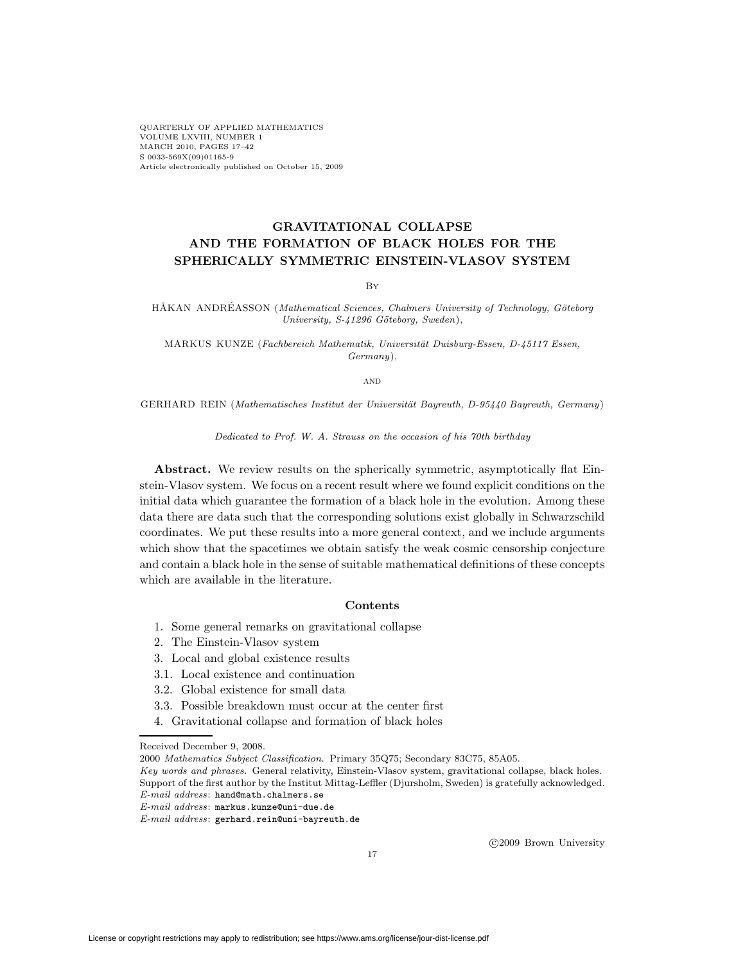QUARTERLY OF APPLIED MATHEMATICS VOLUME LXVIII, NUMBER 1 MARCH 2010, PAGES 17–42 S 0033-569X(09)01165-9 Article electronically published on October 15, 2009

## **GRAVITATIONAL COLLAPSE AND THE FORMATION OF BLACK HOLES FOR THE SPHERICALLY SYMMETRIC EINSTEIN-VLASOV SYSTEM**

By

HÅKAN ANDRÉASSON (Mathematical Sciences, Chalmers University of Technology, Göteborg University, S-41296 Göteborg, Sweden),

MARKUS KUNZE (Fachbereich Mathematik, Universität Duisburg-Essen, D-45117 Essen, Germany),

and

GERHARD REIN (Mathematisches Institut der Universität Bayreuth, D-95440 Bayreuth, Germany)

Dedicated to Prof. W. A. Strauss on the occasion of his 70th birthday

**Abstract.** We review results on the spherically symmetric, asymptotically flat Einstein-Vlasov system. We focus on a recent result where we found explicit conditions on the initial data which guarantee the formation of a black hole in the evolution. Among these data there are data such that the corresponding solutions exist globally in Schwarzschild coordinates. We put these results into a more general context, and we include arguments which show that the spacetimes we obtain satisfy the weak cosmic censorship conjecture and contain a black hole in the sense of suitable mathematical definitions of these concepts which are available in the literature.

## **Contents**

- 1. Some general remarks on gravitational collapse
- 2. The Einstein-Vlasov system
- 3. Local and global existence results
- 3.1. Local existence and continuation
- 3.2. Global existence for small data
- 3.3. Possible breakdown must occur at the center first
- 4. Gravitational collapse and formation of black holes

c 2009 Brown University

Received December 9, 2008.

<sup>2000</sup> Mathematics Subject Classification. Primary 35Q75; Secondary 83C75, 85A05.

Key words and phrases. General relativity, Einstein-Vlasov system, gravitational collapse, black holes. Support of the first author by the Institut Mittag-Leffler (Djursholm, Sweden) is gratefully acknowledged. E-mail address: hand@math.chalmers.se

E-mail address: markus.kunze@uni-due.de

E-mail address: gerhard.rein@uni-bayreuth.de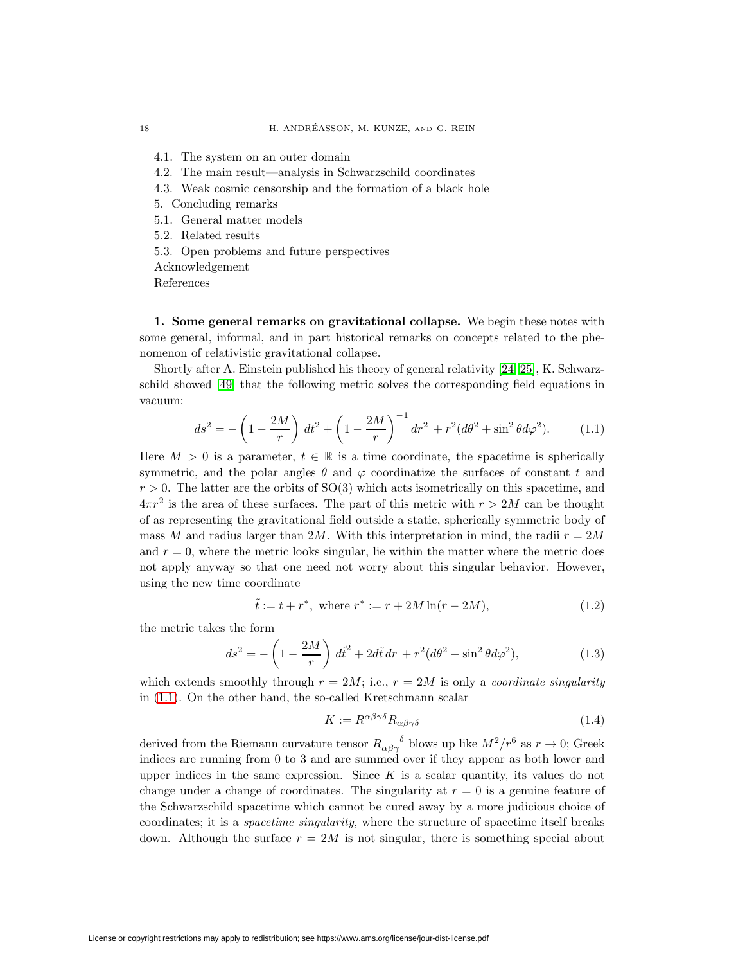4.1. The system on an outer domain

- 4.2. The main result—analysis in Schwarzschild coordinates
- 4.3. Weak cosmic censorship and the formation of a black hole
- 5. Concluding remarks
- 5.1. General matter models
- 5.2. Related results
- 5.3. Open problems and future perspectives
- Acknowledgement

References

**1. Some general remarks on gravitational collapse.** We begin these notes with some general, informal, and in part historical remarks on concepts related to the phenomenon of relativistic gravitational collapse.

<span id="page-1-0"></span>Shortly after A. Einstein published his theory of general relativity [\[24,](#page-24-0) [25\]](#page-24-1), K. Schwarzschild showed [\[49\]](#page-25-0) that the following metric solves the corresponding field equations in vacuum:

$$
ds^{2} = -\left(1 - \frac{2M}{r}\right) dt^{2} + \left(1 - \frac{2M}{r}\right)^{-1} dr^{2} + r^{2} (d\theta^{2} + \sin^{2}\theta d\varphi^{2}). \tag{1.1}
$$

Here  $M > 0$  is a parameter,  $t \in \mathbb{R}$  is a time coordinate, the spacetime is spherically symmetric, and the polar angles  $\theta$  and  $\varphi$  coordinatize the surfaces of constant t and  $r > 0$ . The latter are the orbits of SO(3) which acts isometrically on this spacetime, and  $4\pi r^2$  is the area of these surfaces. The part of this metric with  $r > 2M$  can be thought of as representing the gravitational field outside a static, spherically symmetric body of mass M and radius larger than 2M. With this interpretation in mind, the radii  $r = 2M$ and  $r = 0$ , where the metric looks singular, lie within the matter where the metric does not apply anyway so that one need not worry about this singular behavior. However, using the new time coordinate

$$
\tilde{t} := t + r^*, \text{ where } r^* := r + 2M \ln(r - 2M), \tag{1.2}
$$

the metric takes the form

<span id="page-1-1"></span>
$$
ds^{2} = -\left(1 - \frac{2M}{r}\right) d\tilde{t}^{2} + 2d\tilde{t} dr + r^{2} (d\theta^{2} + \sin^{2} \theta d\varphi^{2}),
$$
\n(1.3)

which extends smoothly through  $r = 2M$ ; i.e.,  $r = 2M$  is only a *coordinate singularity* in [\(1.1\)](#page-1-0). On the other hand, the so-called Kretschmann scalar

$$
K := R^{\alpha\beta\gamma\delta} R_{\alpha\beta\gamma\delta} \tag{1.4}
$$

derived from the Riemann curvature tensor  $R_{\alpha\beta\gamma}^{\qquad \delta}$  blows up like  $M^2/r^6$  as  $r \to 0$ ; Greek indices are running from 0 to 3 and are summed over if they appear as both lower and upper indices in the same expression. Since  $K$  is a scalar quantity, its values do not change under a change of coordinates. The singularity at  $r = 0$  is a genuine feature of the Schwarzschild spacetime which cannot be cured away by a more judicious choice of coordinates; it is a *spacetime singularity*, where the structure of spacetime itself breaks down. Although the surface  $r = 2M$  is not singular, there is something special about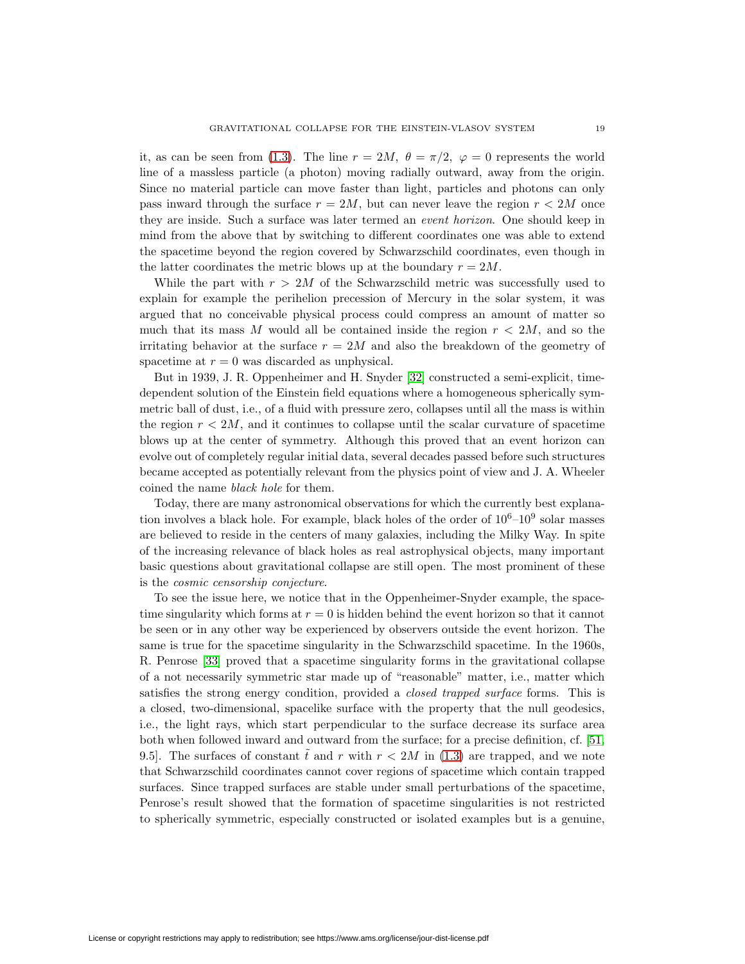it, as can be seen from [\(1.3\)](#page-1-1). The line  $r = 2M$ ,  $\theta = \pi/2$ ,  $\varphi = 0$  represents the world line of a massless particle (a photon) moving radially outward, away from the origin. Since no material particle can move faster than light, particles and photons can only pass inward through the surface  $r = 2M$ , but can never leave the region  $r < 2M$  once they are inside. Such a surface was later termed an event horizon. One should keep in mind from the above that by switching to different coordinates one was able to extend the spacetime beyond the region covered by Schwarzschild coordinates, even though in the latter coordinates the metric blows up at the boundary  $r = 2M$ .

While the part with  $r > 2M$  of the Schwarzschild metric was successfully used to explain for example the perihelion precession of Mercury in the solar system, it was argued that no conceivable physical process could compress an amount of matter so much that its mass M would all be contained inside the region  $r < 2M$ , and so the irritating behavior at the surface  $r = 2M$  and also the breakdown of the geometry of spacetime at  $r = 0$  was discarded as unphysical.

But in 1939, J. R. Oppenheimer and H. Snyder [\[32\]](#page-24-2) constructed a semi-explicit, timedependent solution of the Einstein field equations where a homogeneous spherically symmetric ball of dust, i.e., of a fluid with pressure zero, collapses until all the mass is within the region  $r < 2M$ , and it continues to collapse until the scalar curvature of spacetime blows up at the center of symmetry. Although this proved that an event horizon can evolve out of completely regular initial data, several decades passed before such structures became accepted as potentially relevant from the physics point of view and J. A. Wheeler coined the name black hole for them.

Today, there are many astronomical observations for which the currently best explanation involves a black hole. For example, black holes of the order of  $10^6-10^9$  solar masses are believed to reside in the centers of many galaxies, including the Milky Way. In spite of the increasing relevance of black holes as real astrophysical objects, many important basic questions about gravitational collapse are still open. The most prominent of these is the cosmic censorship conjecture.

To see the issue here, we notice that in the Oppenheimer-Snyder example, the spacetime singularity which forms at  $r = 0$  is hidden behind the event horizon so that it cannot be seen or in any other way be experienced by observers outside the event horizon. The same is true for the spacetime singularity in the Schwarzschild spacetime. In the 1960s, R. Penrose [\[33\]](#page-24-3) proved that a spacetime singularity forms in the gravitational collapse of a not necessarily symmetric star made up of "reasonable" matter, i.e., matter which satisfies the strong energy condition, provided a *closed trapped surface* forms. This is a closed, two-dimensional, spacelike surface with the property that the null geodesics, i.e., the light rays, which start perpendicular to the surface decrease its surface area both when followed inward and outward from the surface; for a precise definition, cf. [\[51,](#page-25-1) 9.5. The surfaces of constant  $\tilde{t}$  and r with  $r < 2M$  in [\(1.3\)](#page-1-1) are trapped, and we note that Schwarzschild coordinates cannot cover regions of spacetime which contain trapped surfaces. Since trapped surfaces are stable under small perturbations of the spacetime, Penrose's result showed that the formation of spacetime singularities is not restricted to spherically symmetric, especially constructed or isolated examples but is a genuine,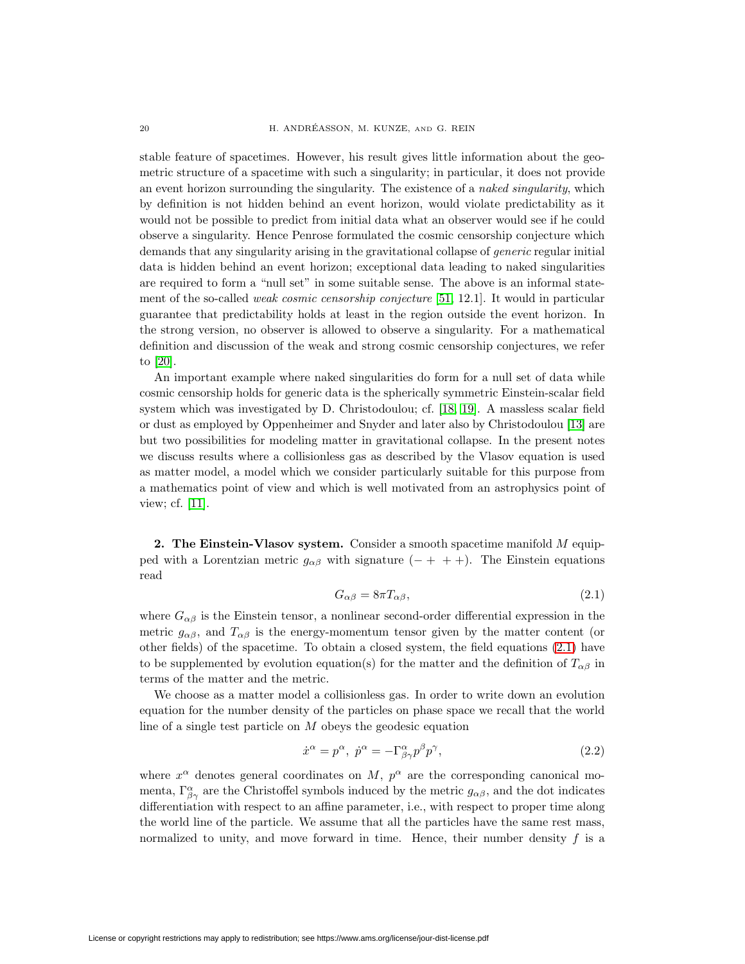stable feature of spacetimes. However, his result gives little information about the geometric structure of a spacetime with such a singularity; in particular, it does not provide an event horizon surrounding the singularity. The existence of a *naked singularity*, which by definition is not hidden behind an event horizon, would violate predictability as it would not be possible to predict from initial data what an observer would see if he could observe a singularity. Hence Penrose formulated the cosmic censorship conjecture which demands that any singularity arising in the gravitational collapse of generic regular initial data is hidden behind an event horizon; exceptional data leading to naked singularities are required to form a "null set" in some suitable sense. The above is an informal statement of the so-called weak cosmic censorship conjecture [\[51,](#page-25-1) 12.1]. It would in particular guarantee that predictability holds at least in the region outside the event horizon. In the strong version, no observer is allowed to observe a singularity. For a mathematical definition and discussion of the weak and strong cosmic censorship conjectures, we refer to [\[20\]](#page-23-0).

An important example where naked singularities do form for a null set of data while cosmic censorship holds for generic data is the spherically symmetric Einstein-scalar field system which was investigated by D. Christodoulou; cf. [\[18,](#page-23-1) [19\]](#page-23-2). A massless scalar field or dust as employed by Oppenheimer and Snyder and later also by Christodoulou [\[13\]](#page-23-3) are but two possibilities for modeling matter in gravitational collapse. In the present notes we discuss results where a collisionless gas as described by the Vlasov equation is used as matter model, a model which we consider particularly suitable for this purpose from a mathematics point of view and which is well motivated from an astrophysics point of view; cf. [\[11\]](#page-23-4).

<span id="page-3-0"></span>**2. The Einstein-Vlasov system.** Consider a smooth spacetime manifold M equipped with a Lorentzian metric  $g_{\alpha\beta}$  with signature (- + + +). The Einstein equations read

$$
G_{\alpha\beta} = 8\pi T_{\alpha\beta},\tag{2.1}
$$

where  $G_{\alpha\beta}$  is the Einstein tensor, a nonlinear second-order differential expression in the metric  $g_{\alpha\beta}$ , and  $T_{\alpha\beta}$  is the energy-momentum tensor given by the matter content (or other fields) of the spacetime. To obtain a closed system, the field equations [\(2.1\)](#page-3-0) have to be supplemented by evolution equation(s) for the matter and the definition of  $T_{\alpha\beta}$  in terms of the matter and the metric.

We choose as a matter model a collisionless gas. In order to write down an evolution equation for the number density of the particles on phase space we recall that the world line of a single test particle on  $M$  obeys the geodesic equation

<span id="page-3-1"></span>
$$
\dot{x}^{\alpha} = p^{\alpha}, \ \dot{p}^{\alpha} = -\Gamma^{\alpha}_{\beta\gamma} p^{\beta} p^{\gamma}, \tag{2.2}
$$

where  $x^{\alpha}$  denotes general coordinates on M,  $p^{\alpha}$  are the corresponding canonical momenta,  $\Gamma^{\alpha}_{\beta\gamma}$  are the Christoffel symbols induced by the metric  $g_{\alpha\beta}$ , and the dot indicates differentiation with respect to an affine parameter, i.e., with respect to proper time along the world line of the particle. We assume that all the particles have the same rest mass, normalized to unity, and move forward in time. Hence, their number density  $f$  is a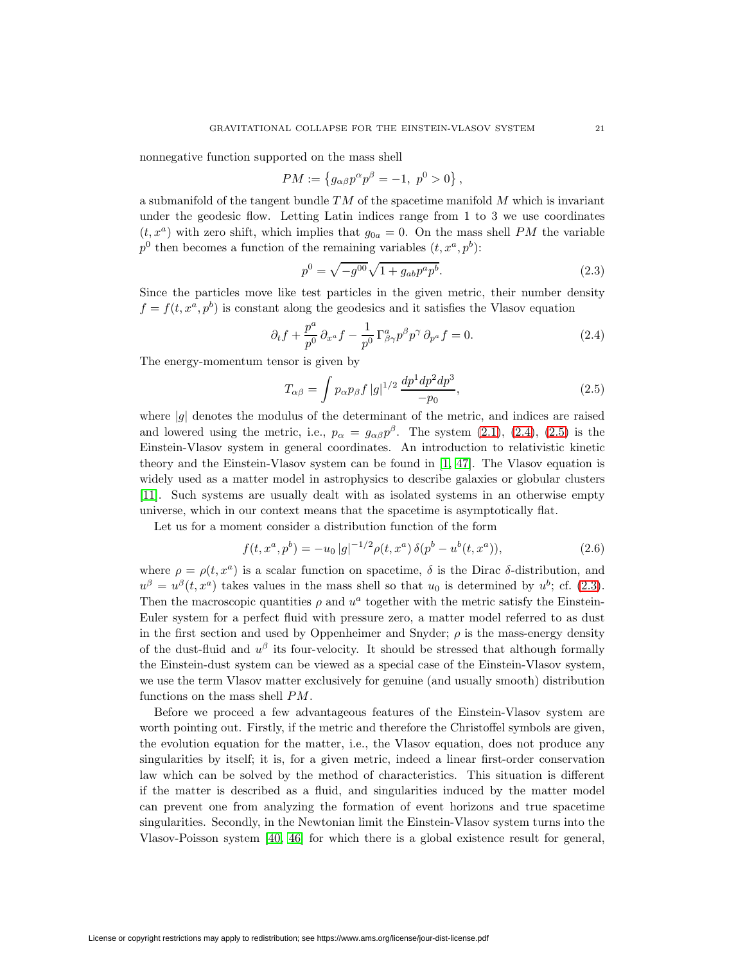nonnegative function supported on the mass shell

$$
PM := \{ g_{\alpha\beta} p^{\alpha} p^{\beta} = -1, p^0 > 0 \},
$$

a submanifold of the tangent bundle  $TM$  of the spacetime manifold  $M$  which is invariant under the geodesic flow. Letting Latin indices range from 1 to 3 we use coordinates  $(t, x^a)$  with zero shift, which implies that  $g_{0a} = 0$ . On the mass shell PM the variable  $p^0$  then becomes a function of the remaining variables  $(t, x^a, p^b)$ :

<span id="page-4-2"></span><span id="page-4-0"></span>
$$
p^0 = \sqrt{-g^{00}}\sqrt{1 + g_{ab}p^a p^b}.
$$
\n(2.3)

Since the particles move like test particles in the given metric, their number density  $f = f(t, x^a, p^b)$  is constant along the geodesics and it satisfies the Vlasov equation

$$
\partial_t f + \frac{p^a}{p^0} \partial_{x^a} f - \frac{1}{p^0} \Gamma^a_{\beta \gamma} p^\beta p^\gamma \partial_{p^a} f = 0.
$$
 (2.4)

The energy-momentum tensor is given by

<span id="page-4-1"></span>
$$
T_{\alpha\beta} = \int p_{\alpha} p_{\beta} f |g|^{1/2} \frac{dp^1 dp^2 dp^3}{-p_0},
$$
\n(2.5)

where  $|g|$  denotes the modulus of the determinant of the metric, and indices are raised and lowered using the metric, i.e.,  $p_{\alpha} = g_{\alpha\beta}p^{\beta}$ . The system [\(2.1\)](#page-3-0), [\(2.4\)](#page-4-0), [\(2.5\)](#page-4-1) is the Einstein-Vlasov system in general coordinates. An introduction to relativistic kinetic theory and the Einstein-Vlasov system can be found in [\[1,](#page-23-5) [47\]](#page-24-4). The Vlasov equation is widely used as a matter model in astrophysics to describe galaxies or globular clusters [\[11\]](#page-23-4). Such systems are usually dealt with as isolated systems in an otherwise empty universe, which in our context means that the spacetime is asymptotically flat.

Let us for a moment consider a distribution function of the form

<span id="page-4-3"></span>
$$
f(t, x^a, p^b) = -u_0 |g|^{-1/2} \rho(t, x^a) \, \delta(p^b - u^b(t, x^a)), \tag{2.6}
$$

where  $\rho = \rho(t, x^a)$  is a scalar function on spacetime,  $\delta$  is the Dirac  $\delta$ -distribution, and  $u^{\beta} = u^{\beta}(t, x^{\alpha})$  takes values in the mass shell so that  $u_0$  is determined by  $u^{b}$ ; cf. [\(2.3\)](#page-4-2). Then the macroscopic quantities  $\rho$  and  $u^a$  together with the metric satisfy the Einstein-Euler system for a perfect fluid with pressure zero, a matter model referred to as dust in the first section and used by Oppenheimer and Snyder;  $\rho$  is the mass-energy density of the dust-fluid and  $u^{\beta}$  its four-velocity. It should be stressed that although formally the Einstein-dust system can be viewed as a special case of the Einstein-Vlasov system, we use the term Vlasov matter exclusively for genuine (and usually smooth) distribution functions on the mass shell PM.

Before we proceed a few advantageous features of the Einstein-Vlasov system are worth pointing out. Firstly, if the metric and therefore the Christoffel symbols are given, the evolution equation for the matter, i.e., the Vlasov equation, does not produce any singularities by itself; it is, for a given metric, indeed a linear first-order conservation law which can be solved by the method of characteristics. This situation is different if the matter is described as a fluid, and singularities induced by the matter model can prevent one from analyzing the formation of event horizons and true spacetime singularities. Secondly, in the Newtonian limit the Einstein-Vlasov system turns into the Vlasov-Poisson system [\[40,](#page-24-5) [46\]](#page-24-6) for which there is a global existence result for general,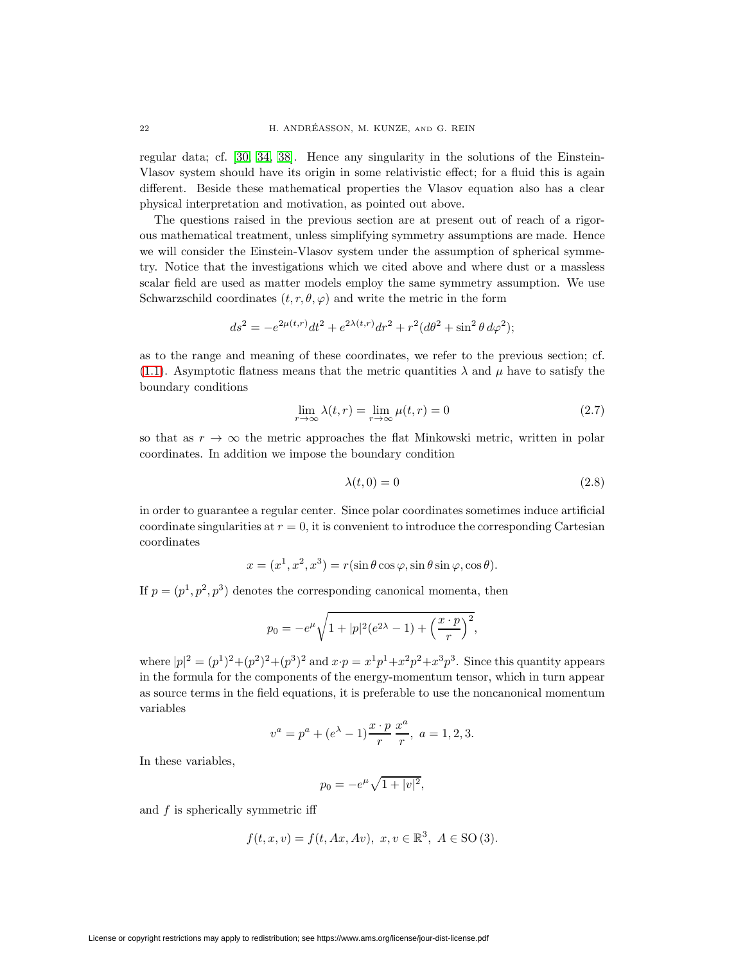regular data; cf. [\[30,](#page-24-7) [34,](#page-24-8) [38\]](#page-24-9). Hence any singularity in the solutions of the Einstein-Vlasov system should have its origin in some relativistic effect; for a fluid this is again different. Beside these mathematical properties the Vlasov equation also has a clear physical interpretation and motivation, as pointed out above.

The questions raised in the previous section are at present out of reach of a rigorous mathematical treatment, unless simplifying symmetry assumptions are made. Hence we will consider the Einstein-Vlasov system under the assumption of spherical symmetry. Notice that the investigations which we cited above and where dust or a massless scalar field are used as matter models employ the same symmetry assumption. We use Schwarzschild coordinates  $(t, r, \theta, \varphi)$  and write the metric in the form

$$
ds^{2} = -e^{2\mu(t,r)}dt^{2} + e^{2\lambda(t,r)}dr^{2} + r^{2}(d\theta^{2} + \sin^{2}\theta \, d\varphi^{2});
$$

<span id="page-5-1"></span>as to the range and meaning of these coordinates, we refer to the previous section; cf. [\(1.1\)](#page-1-0). Asymptotic flatness means that the metric quantities  $\lambda$  and  $\mu$  have to satisfy the boundary conditions

$$
\lim_{r \to \infty} \lambda(t, r) = \lim_{r \to \infty} \mu(t, r) = 0
$$
\n(2.7)

so that as  $r \to \infty$  the metric approaches the flat Minkowski metric, written in polar coordinates. In addition we impose the boundary condition

<span id="page-5-0"></span>
$$
\lambda(t,0) = 0\tag{2.8}
$$

in order to guarantee a regular center. Since polar coordinates sometimes induce artificial coordinate singularities at  $r = 0$ , it is convenient to introduce the corresponding Cartesian coordinates

$$
x = (x1, x2, x3) = r(\sin \theta \cos \varphi, \sin \theta \sin \varphi, \cos \theta).
$$

If  $p = (p^1, p^2, p^3)$  denotes the corresponding canonical momenta, then

$$
p_0 = -e^{\mu}\sqrt{1+|p|^2(e^{2\lambda}-1)+\left(\frac{x\cdot p}{r}\right)^2},
$$

where  $|p|^2 = (p^1)^2 + (p^2)^2 + (p^3)^2$  and  $x \cdot p = x^1 p^1 + x^2 p^2 + x^3 p^3$ . Since this quantity appears in the formula for the components of the energy-momentum tensor, which in turn appear as source terms in the field equations, it is preferable to use the noncanonical momentum variables

$$
v^{a} = p^{a} + (e^{\lambda} - 1) \frac{x \cdot p}{r} \frac{x^{a}}{r}, \ a = 1, 2, 3.
$$

In these variables,

$$
p_0 = -e^{\mu} \sqrt{1 + |v|^2},
$$

and  $f$  is spherically symmetric iff

$$
f(t, x, v) = f(t, Ax, Av), x, v \in \mathbb{R}^3, A \in SO(3).
$$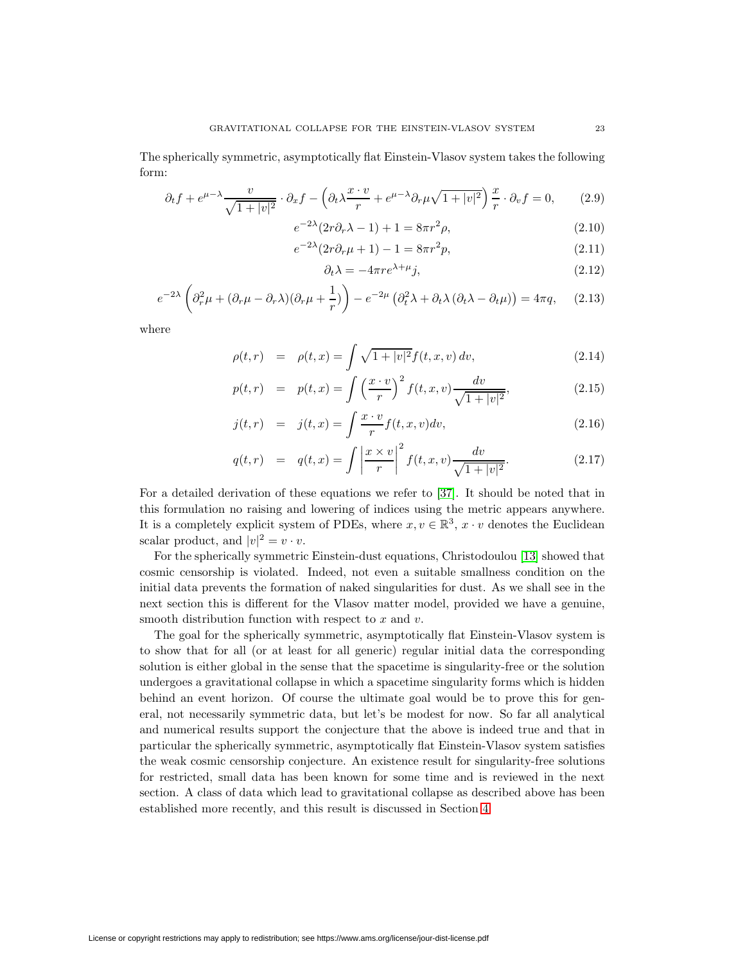The spherically symmetric, asymptotically flat Einstein-Vlasov system takes the following form:

$$
\partial_t f + e^{\mu - \lambda} \frac{v}{\sqrt{1 + |v|^2}} \cdot \partial_x f - \left( \partial_t \lambda \frac{x \cdot v}{r} + e^{\mu - \lambda} \partial_r \mu \sqrt{1 + |v|^2} \right) \frac{x}{r} \cdot \partial_v f = 0, \qquad (2.9)
$$

$$
e^{-2\lambda}(2r\partial_r\lambda - 1) + 1 = 8\pi r^2 \rho,
$$
\n(2.10)

$$
e^{-2\lambda}(2r\partial_r\mu + 1) - 1 = 8\pi r^2 p,
$$
\n(2.11)

<span id="page-6-5"></span><span id="page-6-4"></span><span id="page-6-3"></span><span id="page-6-2"></span><span id="page-6-0"></span>
$$
\partial_t \lambda = -4\pi r e^{\lambda + \mu} j,\tag{2.12}
$$

$$
e^{-2\lambda} \left( \partial_r^2 \mu + (\partial_r \mu - \partial_r \lambda)(\partial_r \mu + \frac{1}{r}) \right) - e^{-2\mu} \left( \partial_t^2 \lambda + \partial_t \lambda (\partial_t \lambda - \partial_t \mu) \right) = 4\pi q, \quad (2.13)
$$

<span id="page-6-1"></span>where

$$
\rho(t,r) = \rho(t,x) = \int \sqrt{1+|v|^2} f(t,x,v) dv,
$$
\n(2.14)

$$
p(t,r) = p(t,x) = \int \left(\frac{x \cdot v}{r}\right)^2 f(t,x,v) \frac{dv}{\sqrt{1+|v|^2}},
$$
\n(2.15)

$$
j(t,r) = j(t,x) = \int \frac{x \cdot v}{r} f(t,x,v) dv,
$$
\n(2.16)

$$
q(t,r) = q(t,x) = \int \left| \frac{x \times v}{r} \right|^2 f(t,x,v) \frac{dv}{\sqrt{1 + |v|^2}}.
$$
 (2.17)

For a detailed derivation of these equations we refer to [\[37\]](#page-24-10). It should be noted that in this formulation no raising and lowering of indices using the metric appears anywhere. It is a completely explicit system of PDEs, where  $x, v \in \mathbb{R}^3$ ,  $x \cdot v$  denotes the Euclidean scalar product, and  $|v|^2 = v \cdot v$ .

For the spherically symmetric Einstein-dust equations, Christodoulou [\[13\]](#page-23-3) showed that cosmic censorship is violated. Indeed, not even a suitable smallness condition on the initial data prevents the formation of naked singularities for dust. As we shall see in the next section this is different for the Vlasov matter model, provided we have a genuine, smooth distribution function with respect to  $x$  and  $v$ .

<span id="page-6-6"></span>The goal for the spherically symmetric, asymptotically flat Einstein-Vlasov system is to show that for all (or at least for all generic) regular initial data the corresponding solution is either global in the sense that the spacetime is singularity-free or the solution undergoes a gravitational collapse in which a spacetime singularity forms which is hidden behind an event horizon. Of course the ultimate goal would be to prove this for general, not necessarily symmetric data, but let's be modest for now. So far all analytical and numerical results support the conjecture that the above is indeed true and that in particular the spherically symmetric, asymptotically flat Einstein-Vlasov system satisfies the weak cosmic censorship conjecture. An existence result for singularity-free solutions for restricted, small data has been known for some time and is reviewed in the next section. A class of data which lead to gravitational collapse as described above has been established more recently, and this result is discussed in Section [4.](#page-12-0)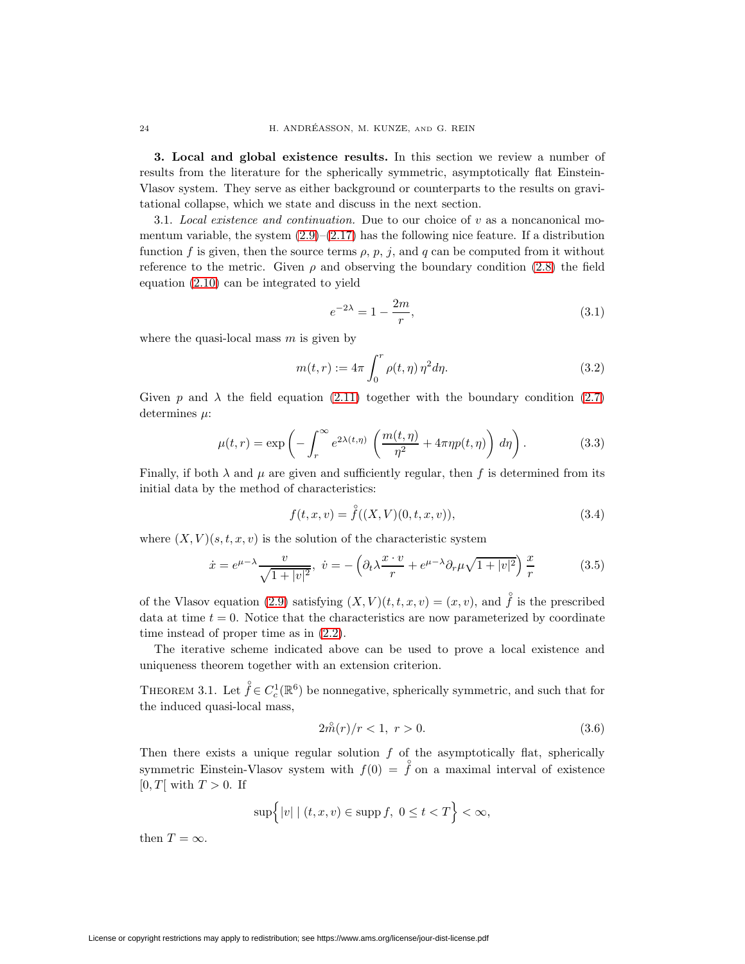**3. Local and global existence results.** In this section we review a number of results from the literature for the spherically symmetric, asymptotically flat Einstein-Vlasov system. They serve as either background or counterparts to the results on gravitational collapse, which we state and discuss in the next section.

3.1. Local existence and continuation. Due to our choice of  $v$  as a noncanonical momentum variable, the system  $(2.9)$ – $(2.17)$  has the following nice feature. If a distribution function f is given, then the source terms  $\rho$ ,  $p$ ,  $j$ , and  $q$  can be computed from it without reference to the metric. Given  $\rho$  and observing the boundary condition [\(2.8\)](#page-5-0) the field equation [\(2.10\)](#page-6-2) can be integrated to yield

<span id="page-7-1"></span>
$$
e^{-2\lambda} = 1 - \frac{2m}{r},
$$
\n(3.1)

where the quasi-local mass  $m$  is given by

$$
m(t,r) := 4\pi \int_0^r \rho(t,\eta) \eta^2 d\eta.
$$
 (3.2)

<span id="page-7-4"></span>Given p and  $\lambda$  the field equation [\(2.11\)](#page-6-3) together with the boundary condition [\(2.7\)](#page-5-1) determines  $\mu$ :

$$
\mu(t,r) = \exp\left(-\int_r^{\infty} e^{2\lambda(t,\eta)} \left(\frac{m(t,\eta)}{\eta^2} + 4\pi\eta p(t,\eta)\right) d\eta\right).
$$
 (3.3)

Finally, if both  $\lambda$  and  $\mu$  are given and sufficiently regular, then f is determined from its initial data by the method of characteristics:

<span id="page-7-3"></span>
$$
f(t, x, v) = \overset{\circ}{f}((X, V)(0, t, x, v)), \tag{3.4}
$$

where  $(X, V)(s, t, x, v)$  is the solution of the characteristic system

$$
\dot{x} = e^{\mu - \lambda} \frac{v}{\sqrt{1 + |v|^2}}, \quad \dot{v} = -\left(\partial_t \lambda \frac{x \cdot v}{r} + e^{\mu - \lambda} \partial_r \mu \sqrt{1 + |v|^2}\right) \frac{x}{r}
$$
(3.5)

of the Vlasov equation [\(2.9\)](#page-6-0) satisfying  $(X, V)(t, t, x, v) = (x, v)$ , and  $\hat{f}$  is the prescribed data at time  $t = 0$ . Notice that the characteristics are now parameterized by coordinate time instead of proper time as in [\(2.2\)](#page-3-1).

<span id="page-7-2"></span>The iterative scheme indicated above can be used to prove a local existence and uniqueness theorem together with an extension criterion.

<span id="page-7-0"></span>THEOREM 3.1. Let  $\mathring{f} \in C_c^1(\mathbb{R}^6)$  be nonnegative, spherically symmetric, and such that for the induced quasi-local mass,

$$
2\hat{m}(r)/r < 1, r > 0.
$$
\n(3.6)

Then there exists a unique regular solution  $f$  of the asymptotically flat, spherically symmetric Einstein-Vlasov system with  $f(0) = \hat{f}$  on a maximal interval of existence  $[0, T]$  with  $T > 0$ . If

$$
\sup\Bigl\{|v|\mid (t,x,v)\in\text{supp }f,\,\,0\leq t
$$

then  $T = \infty$ .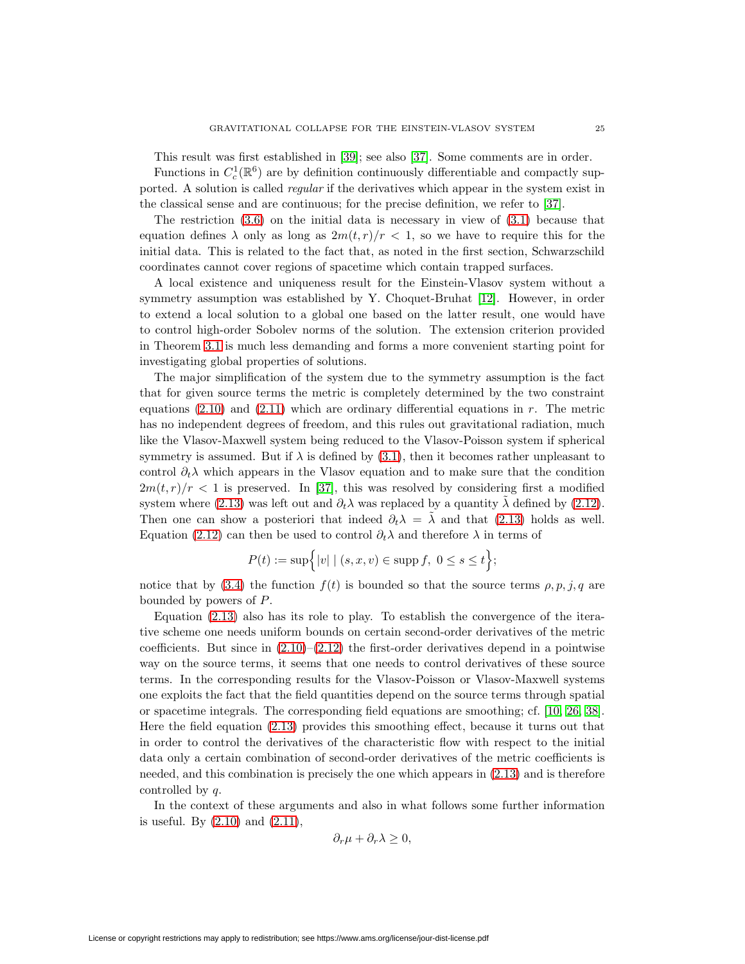This result was first established in [\[39\]](#page-24-11); see also [\[37\]](#page-24-10). Some comments are in order.

Functions in  $C_c^1(\mathbb{R}^6)$  are by definition continuously differentiable and compactly supported. A solution is called regular if the derivatives which appear in the system exist in the classical sense and are continuous; for the precise definition, we refer to [\[37\]](#page-24-10).

The restriction [\(3.6\)](#page-7-0) on the initial data is necessary in view of [\(3.1\)](#page-7-1) because that equation defines  $\lambda$  only as long as  $2m(t, r)/r < 1$ , so we have to require this for the initial data. This is related to the fact that, as noted in the first section, Schwarzschild coordinates cannot cover regions of spacetime which contain trapped surfaces.

A local existence and uniqueness result for the Einstein-Vlasov system without a symmetry assumption was established by Y. Choquet-Bruhat [\[12\]](#page-23-6). However, in order to extend a local solution to a global one based on the latter result, one would have to control high-order Sobolev norms of the solution. The extension criterion provided in Theorem [3.1](#page-7-2) is much less demanding and forms a more convenient starting point for investigating global properties of solutions.

The major simplification of the system due to the symmetry assumption is the fact that for given source terms the metric is completely determined by the two constraint equations  $(2.10)$  and  $(2.11)$  which are ordinary differential equations in r. The metric has no independent degrees of freedom, and this rules out gravitational radiation, much like the Vlasov-Maxwell system being reduced to the Vlasov-Poisson system if spherical symmetry is assumed. But if  $\lambda$  is defined by [\(3.1\)](#page-7-1), then it becomes rather unpleasant to control  $\partial_t \lambda$  which appears in the Vlasov equation and to make sure that the condition  $2m(t, r)/r < 1$  is preserved. In [\[37\]](#page-24-10), this was resolved by considering first a modified system where [\(2.13\)](#page-6-4) was left out and  $\partial_t \lambda$  was replaced by a quantity  $\lambda$  defined by [\(2.12\)](#page-6-5). Then one can show a posteriori that indeed  $\partial_t \lambda = \tilde{\lambda}$  and that [\(2.13\)](#page-6-4) holds as well. Equation [\(2.12\)](#page-6-5) can then be used to control  $\partial_t \lambda$  and therefore  $\lambda$  in terms of

$$
P(t) := \sup \Big\{ |v| \mid (s, x, v) \in \text{supp } f, \ 0 \le s \le t \Big\};
$$

notice that by [\(3.4\)](#page-7-3) the function  $f(t)$  is bounded so that the source terms  $\rho, p, j, q$  are bounded by powers of P.

Equation [\(2.13\)](#page-6-4) also has its role to play. To establish the convergence of the iterative scheme one needs uniform bounds on certain second-order derivatives of the metric coefficients. But since in  $(2.10)$ – $(2.12)$  the first-order derivatives depend in a pointwise way on the source terms, it seems that one needs to control derivatives of these source terms. In the corresponding results for the Vlasov-Poisson or Vlasov-Maxwell systems one exploits the fact that the field quantities depend on the source terms through spatial or spacetime integrals. The corresponding field equations are smoothing; cf. [\[10,](#page-23-7) [26,](#page-24-12) [38\]](#page-24-9). Here the field equation [\(2.13\)](#page-6-4) provides this smoothing effect, because it turns out that in order to control the derivatives of the characteristic flow with respect to the initial data only a certain combination of second-order derivatives of the metric coefficients is needed, and this combination is precisely the one which appears in [\(2.13\)](#page-6-4) and is therefore controlled by q.

In the context of these arguments and also in what follows some further information is useful. By [\(2.10\)](#page-6-2) and [\(2.11\)](#page-6-3),

$$
\partial_r \mu + \partial_r \lambda \geq 0,
$$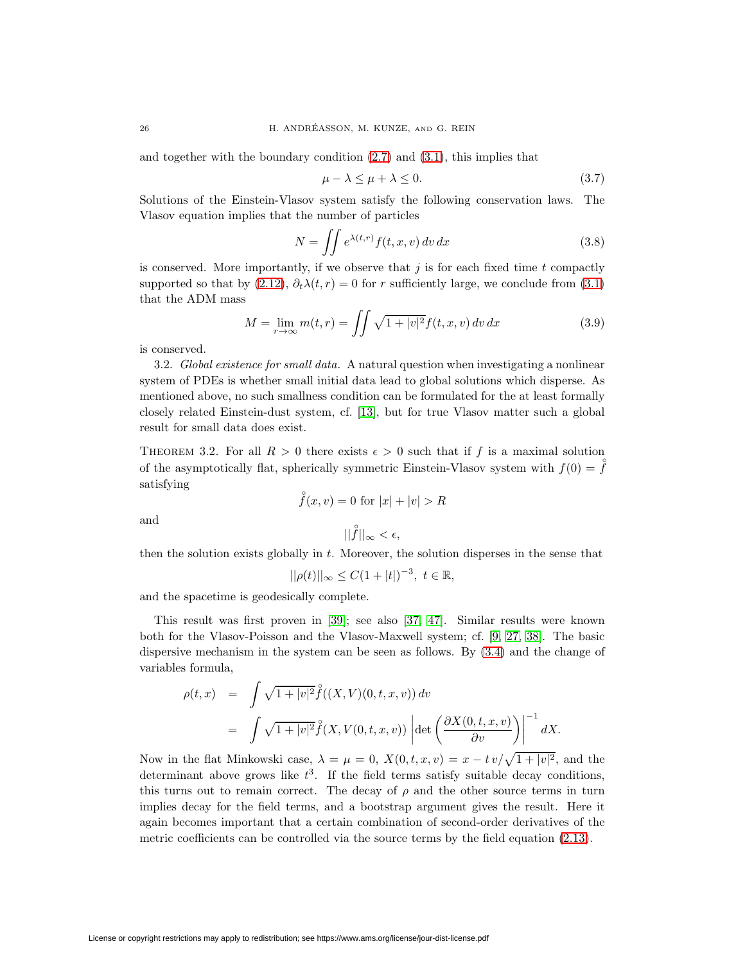and together with the boundary condition  $(2.7)$  and  $(3.1)$ , this implies that

<span id="page-9-1"></span>
$$
\mu - \lambda \le \mu + \lambda \le 0. \tag{3.7}
$$

Solutions of the Einstein-Vlasov system satisfy the following conservation laws. The Vlasov equation implies that the number of particles

$$
N = \iint e^{\lambda(t,r)} f(t,x,v) \, dv \, dx \tag{3.8}
$$

is conserved. More importantly, if we observe that  $j$  is for each fixed time  $t$  compactly supported so that by  $(2.12)$ ,  $\partial_t \lambda(t, r) = 0$  for r sufficiently large, we conclude from  $(3.1)$ that the ADM mass

$$
M = \lim_{r \to \infty} m(t, r) = \iint \sqrt{1 + |v|^2} f(t, x, v) \, dv \, dx \tag{3.9}
$$

is conserved.

3.2. Global existence for small data. A natural question when investigating a nonlinear system of PDEs is whether small initial data lead to global solutions which disperse. As mentioned above, no such smallness condition can be formulated for the at least formally closely related Einstein-dust system, cf. [\[13\]](#page-23-3), but for true Vlasov matter such a global result for small data does exist.

<span id="page-9-0"></span>THEOREM 3.2. For all  $R > 0$  there exists  $\epsilon > 0$  such that if f is a maximal solution of the asymptotically flat, spherically symmetric Einstein-Vlasov system with  $f(0) = \hat{f}$ satisfying

$$
\hat{f}(x, v) = 0
$$
 for  $|x| + |v| > R$ 

and

$$
||\mathring{f}||_{\infty}<\epsilon,
$$

then the solution exists globally in  $t$ . Moreover, the solution disperses in the sense that

$$
||\rho(t)||_{\infty} \leq C(1+|t|)^{-3}, \ t \in \mathbb{R},
$$

and the spacetime is geodesically complete.

This result was first proven in [\[39\]](#page-24-11); see also [\[37,](#page-24-10) [47\]](#page-24-4). Similar results were known both for the Vlasov-Poisson and the Vlasov-Maxwell system; cf. [\[9,](#page-23-8) [27,](#page-24-13) [38\]](#page-24-9). The basic dispersive mechanism in the system can be seen as follows. By [\(3.4\)](#page-7-3) and the change of variables formula,

$$
\rho(t,x) = \int \sqrt{1+|v|^2} \hat{f}((X,V)(0,t,x,v)) dv
$$
  
= 
$$
\int \sqrt{1+|v|^2} \hat{f}(X,V(0,t,x,v)) \left| \det \left( \frac{\partial X(0,t,x,v)}{\partial v} \right) \right|^{-1} dX.
$$

Now in the flat Minkowski case,  $\lambda = \mu = 0$ ,  $X(0, t, x, v) = x - tv/\sqrt{1 + |v|^2}$ , and the determinant above grows like  $t^3$ . If the field terms satisfy suitable decay conditions, this turns out to remain correct. The decay of  $\rho$  and the other source terms in turn implies decay for the field terms, and a bootstrap argument gives the result. Here it again becomes important that a certain combination of second-order derivatives of the metric coefficients can be controlled via the source terms by the field equation [\(2.13\)](#page-6-4).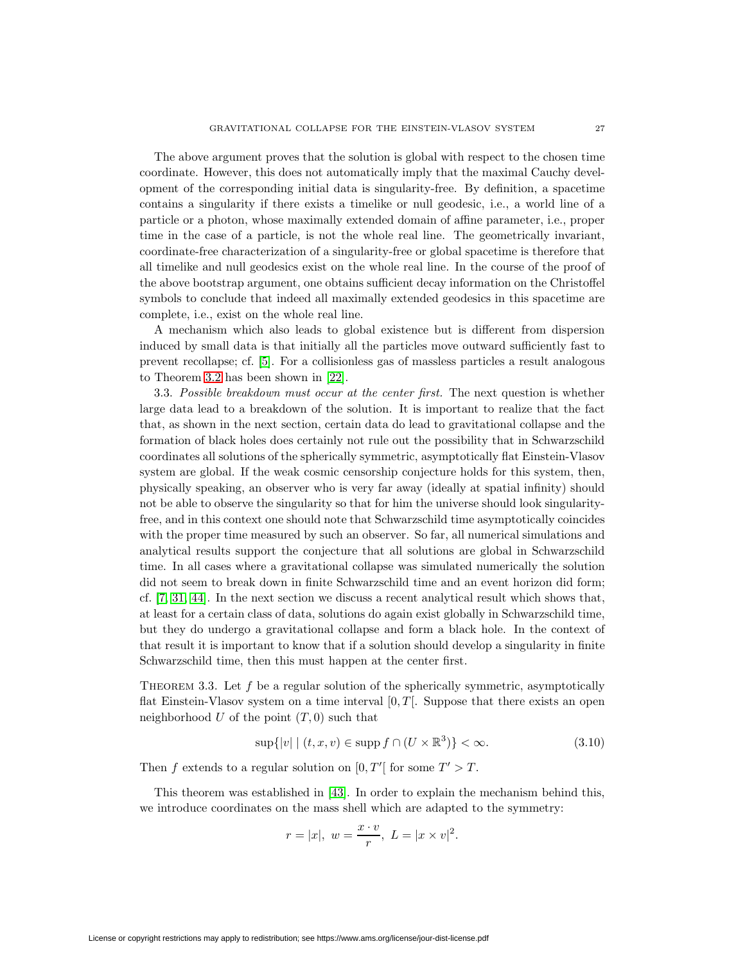The above argument proves that the solution is global with respect to the chosen time coordinate. However, this does not automatically imply that the maximal Cauchy development of the corresponding initial data is singularity-free. By definition, a spacetime contains a singularity if there exists a timelike or null geodesic, i.e., a world line of a particle or a photon, whose maximally extended domain of affine parameter, i.e., proper time in the case of a particle, is not the whole real line. The geometrically invariant, coordinate-free characterization of a singularity-free or global spacetime is therefore that all timelike and null geodesics exist on the whole real line. In the course of the proof of the above bootstrap argument, one obtains sufficient decay information on the Christoffel symbols to conclude that indeed all maximally extended geodesics in this spacetime are complete, i.e., exist on the whole real line.

A mechanism which also leads to global existence but is different from dispersion induced by small data is that initially all the particles move outward sufficiently fast to prevent recollapse; cf. [\[5\]](#page-23-9). For a collisionless gas of massless particles a result analogous to Theorem [3.2](#page-9-0) has been shown in [\[22\]](#page-24-14).

3.3. Possible breakdown must occur at the center first. The next question is whether large data lead to a breakdown of the solution. It is important to realize that the fact that, as shown in the next section, certain data do lead to gravitational collapse and the formation of black holes does certainly not rule out the possibility that in Schwarzschild coordinates all solutions of the spherically symmetric, asymptotically flat Einstein-Vlasov system are global. If the weak cosmic censorship conjecture holds for this system, then, physically speaking, an observer who is very far away (ideally at spatial infinity) should not be able to observe the singularity so that for him the universe should look singularityfree, and in this context one should note that Schwarzschild time asymptotically coincides with the proper time measured by such an observer. So far, all numerical simulations and analytical results support the conjecture that all solutions are global in Schwarzschild time. In all cases where a gravitational collapse was simulated numerically the solution did not seem to break down in finite Schwarzschild time and an event horizon did form; cf. [\[7,](#page-23-10) [31,](#page-24-15) [44\]](#page-24-16). In the next section we discuss a recent analytical result which shows that, at least for a certain class of data, solutions do again exist globally in Schwarzschild time, but they do undergo a gravitational collapse and form a black hole. In the context of that result it is important to know that if a solution should develop a singularity in finite Schwarzschild time, then this must happen at the center first.

<span id="page-10-0"></span>THEOREM 3.3. Let  $f$  be a regular solution of the spherically symmetric, asymptotically flat Einstein-Vlasov system on a time interval  $[0, T]$ . Suppose that there exists an open neighborhood U of the point  $(T, 0)$  such that

$$
\sup\{|v| \mid (t, x, v) \in \operatorname{supp} f \cap (U \times \mathbb{R}^3)\} < \infty. \tag{3.10}
$$

Then f extends to a regular solution on  $[0, T']$  for some  $T' > T$ .

This theorem was established in [\[43\]](#page-24-17). In order to explain the mechanism behind this, we introduce coordinates on the mass shell which are adapted to the symmetry:

$$
r = |x|, w = \frac{x \cdot v}{r}, L = |x \times v|^2.
$$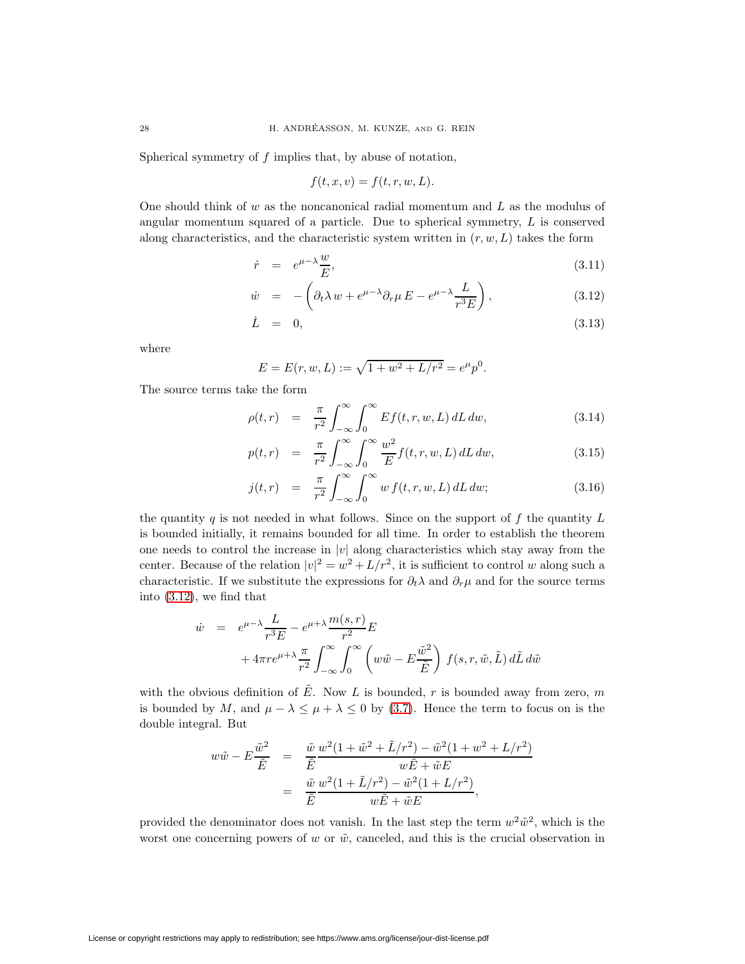Spherical symmetry of f implies that, by abuse of notation,

$$
f(t, x, v) = f(t, r, w, L).
$$

<span id="page-11-0"></span>One should think of  $w$  as the noncanonical radial momentum and  $L$  as the modulus of angular momentum squared of a particle. Due to spherical symmetry, L is conserved along characteristics, and the characteristic system written in  $(r, w, L)$  takes the form

$$
\dot{r} = e^{\mu - \lambda} \frac{w}{E},\tag{3.11}
$$

$$
\dot{w} = -\left(\partial_t \lambda w + e^{\mu - \lambda} \partial_r \mu E - e^{\mu - \lambda} \frac{L}{r^3 E}\right),\tag{3.12}
$$

$$
\dot{L} = 0, \tag{3.13}
$$

where

$$
E = E(r, w, L) := \sqrt{1 + w^2 + L/r^2} = e^{\mu} p^0.
$$

The source terms take the form

$$
\rho(t,r) = \frac{\pi}{r^2} \int_{-\infty}^{\infty} \int_{0}^{\infty} Ef(t,r,w,L) dL dw, \qquad (3.14)
$$

$$
p(t,r) = \frac{\pi}{r^2} \int_{-\infty}^{\infty} \int_{0}^{\infty} \frac{w^2}{E} f(t,r,w,L) dL dw, \qquad (3.15)
$$

$$
j(t,r) = \frac{\pi}{r^2} \int_{-\infty}^{\infty} \int_0^{\infty} w f(t,r,w,L) dL dw;
$$
 (3.16)

the quantity q is not needed in what follows. Since on the support of f the quantity  $L$ is bounded initially, it remains bounded for all time. In order to establish the theorem one needs to control the increase in  $|v|$  along characteristics which stay away from the center. Because of the relation  $|v|^2 = w^2 + L/r^2$ , it is sufficient to control w along such a characteristic. If we substitute the expressions for  $\partial_t \lambda$  and  $\partial_r \mu$  and for the source terms into [\(3.12\)](#page-11-0), we find that

$$
\dot{w} = e^{\mu - \lambda} \frac{L}{r^3 E} - e^{\mu + \lambda} \frac{m(s, r)}{r^2} E
$$
  
+  $4\pi r e^{\mu + \lambda} \frac{\pi}{r^2} \int_{-\infty}^{\infty} \int_{0}^{\infty} \left( w \tilde{w} - E \frac{\tilde{w}^2}{\tilde{E}} \right) f(s, r, \tilde{w}, \tilde{L}) d\tilde{L} d\tilde{w}$ 

with the obvious definition of  $\overline{E}$ . Now L is bounded, r is bounded away from zero, m is bounded by M, and  $\mu - \lambda \leq \mu + \lambda \leq 0$  by [\(3.7\)](#page-9-1). Hence the term to focus on is the double integral. But

$$
w\tilde{w} - E\frac{\tilde{w}^2}{\tilde{E}} = \frac{\tilde{w}}{\tilde{E}} \frac{w^2(1 + \tilde{w}^2 + \tilde{L}/r^2) - \tilde{w}^2(1 + w^2 + L/r^2)}{w\tilde{E} + \tilde{w}E}
$$
  
= 
$$
\frac{\tilde{w}}{\tilde{E}} \frac{w^2(1 + \tilde{L}/r^2) - \tilde{w}^2(1 + L/r^2)}{w\tilde{E} + \tilde{w}E},
$$

provided the denominator does not vanish. In the last step the term  $w^2\tilde{w}^2$ , which is the worst one concerning powers of w or  $\tilde{w}$ , canceled, and this is the crucial observation in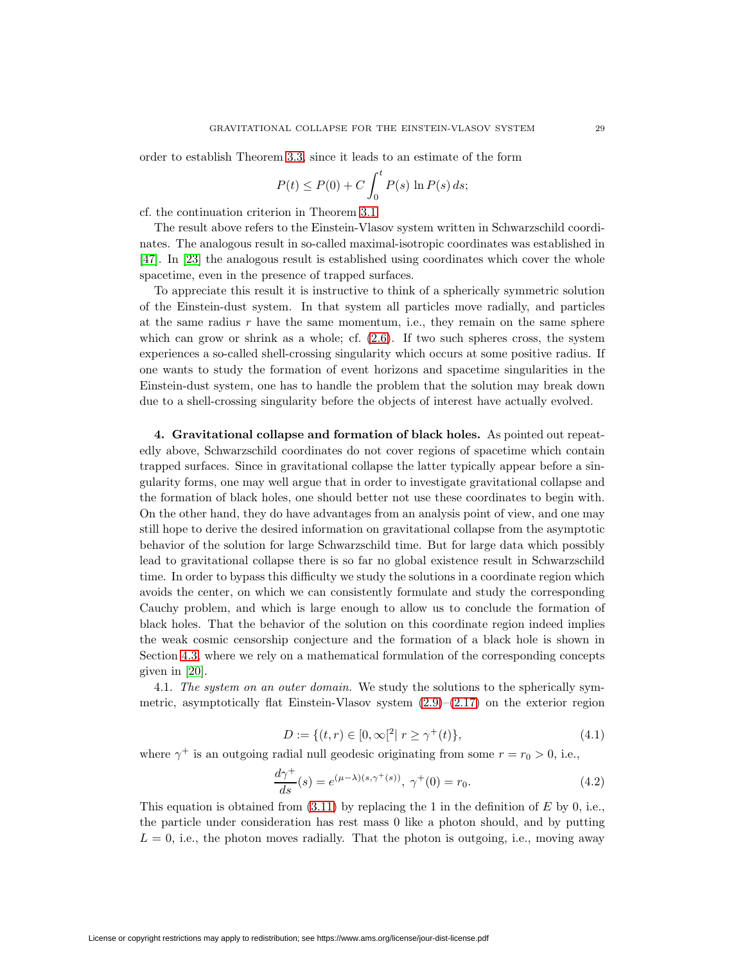order to establish Theorem [3.3,](#page-10-0) since it leads to an estimate of the form

$$
P(t) \le P(0) + C \int_0^t P(s) \ln P(s) ds;
$$

cf. the continuation criterion in Theorem [3.1.](#page-7-2)

The result above refers to the Einstein-Vlasov system written in Schwarzschild coordinates. The analogous result in so-called maximal-isotropic coordinates was established in [\[47\]](#page-24-4). In [\[23\]](#page-24-18) the analogous result is established using coordinates which cover the whole spacetime, even in the presence of trapped surfaces.

To appreciate this result it is instructive to think of a spherically symmetric solution of the Einstein-dust system. In that system all particles move radially, and particles at the same radius  $r$  have the same momentum, i.e., they remain on the same sphere which can grow or shrink as a whole; cf.  $(2.6)$ . If two such spheres cross, the system experiences a so-called shell-crossing singularity which occurs at some positive radius. If one wants to study the formation of event horizons and spacetime singularities in the Einstein-dust system, one has to handle the problem that the solution may break down due to a shell-crossing singularity before the objects of interest have actually evolved.

<span id="page-12-0"></span>**4. Gravitational collapse and formation of black holes.** As pointed out repeatedly above, Schwarzschild coordinates do not cover regions of spacetime which contain trapped surfaces. Since in gravitational collapse the latter typically appear before a singularity forms, one may well argue that in order to investigate gravitational collapse and the formation of black holes, one should better not use these coordinates to begin with. On the other hand, they do have advantages from an analysis point of view, and one may still hope to derive the desired information on gravitational collapse from the asymptotic behavior of the solution for large Schwarzschild time. But for large data which possibly lead to gravitational collapse there is so far no global existence result in Schwarzschild time. In order to bypass this difficulty we study the solutions in a coordinate region which avoids the center, on which we can consistently formulate and study the corresponding Cauchy problem, and which is large enough to allow us to conclude the formation of black holes. That the behavior of the solution on this coordinate region indeed implies the weak cosmic censorship conjecture and the formation of a black hole is shown in Section [4.3,](#page-17-0) where we rely on a mathematical formulation of the corresponding concepts given in [\[20\]](#page-23-0).

4.1. The system on an outer domain. We study the solutions to the spherically symmetric, asymptotically flat Einstein-Vlasov system  $(2.9)$ – $(2.17)$  on the exterior region

<span id="page-12-1"></span>
$$
D := \{(t, r) \in [0, \infty)^2 | r \ge \gamma^+(t) \},\tag{4.1}
$$

where  $\gamma^+$  is an outgoing radial null geodesic originating from some  $r = r_0 > 0$ , i.e.,

$$
\frac{d\gamma^{+}}{ds}(s) = e^{(\mu - \lambda)(s,\gamma^{+}(s))}, \ \gamma^{+}(0) = r_{0}.
$$
 (4.2)

This equation is obtained from  $(3.11)$  by replacing the 1 in the definition of E by 0, i.e., the particle under consideration has rest mass 0 like a photon should, and by putting  $L = 0$ , i.e., the photon moves radially. That the photon is outgoing, i.e., moving away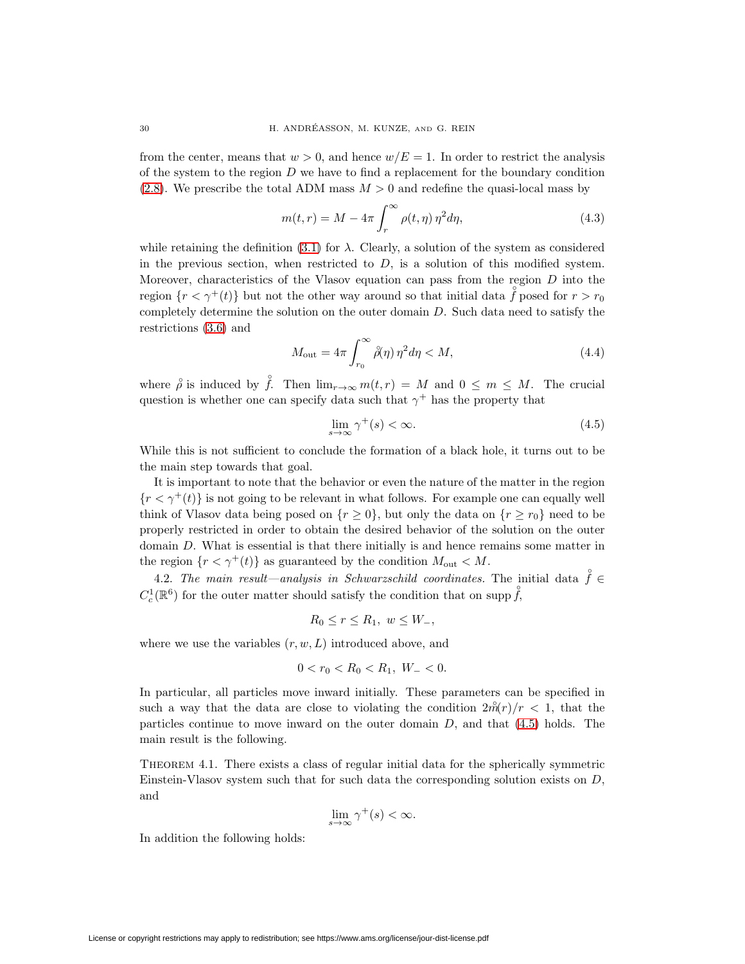from the center, means that  $w > 0$ , and hence  $w/E = 1$ . In order to restrict the analysis of the system to the region  $D$  we have to find a replacement for the boundary condition [\(2.8\)](#page-5-0). We prescribe the total ADM mass  $M > 0$  and redefine the quasi-local mass by

$$
m(t,r) = M - 4\pi \int_{r}^{\infty} \rho(t,\eta) \eta^2 d\eta,
$$
\n(4.3)

while retaining the definition  $(3.1)$  for  $\lambda$ . Clearly, a solution of the system as considered in the previous section, when restricted to  $D$ , is a solution of this modified system. Moreover, characteristics of the Vlasov equation can pass from the region  $D$  into the region  $\{r < \gamma^+(t)\}$  but not the other way around so that initial data  $\overset{\circ}{f}$  posed for  $r > r_0$ completely determine the solution on the outer domain  $D$ . Such data need to satisfy the restrictions [\(3.6\)](#page-7-0) and

$$
M_{\text{out}} = 4\pi \int_{r_0}^{\infty} \beta(\eta) \,\eta^2 d\eta < M,\tag{4.4}
$$

where  $\overset{\circ}{\rho}$  is induced by  $\overset{\circ}{f}$ . Then  $\lim_{r\to\infty} m(t,r) = M$  and  $0 \leq m \leq M$ . The crucial question is whether one can specify data such that  $\gamma^+$  has the property that

<span id="page-13-0"></span>
$$
\lim_{s \to \infty} \gamma^+(s) < \infty. \tag{4.5}
$$

While this is not sufficient to conclude the formation of a black hole, it turns out to be the main step towards that goal.

It is important to note that the behavior or even the nature of the matter in the region  ${r < \gamma^+(t)}$  is not going to be relevant in what follows. For example one can equally well think of Vlasov data being posed on  $\{r \geq 0\}$ , but only the data on  $\{r \geq r_0\}$  need to be properly restricted in order to obtain the desired behavior of the solution on the outer domain D. What is essential is that there initially is and hence remains some matter in the region  $\{r < \gamma^+(t)\}\$ as guaranteed by the condition  $M_{\text{out}} < M$ .

4.2. The main result—analysis in Schwarzschild coordinates. The initial data  $\hat{f} \in$  $C_c^1(\mathbb{R}^6)$  for the outer matter should satisfy the condition that on supp  $\hat{f}$ ,

$$
R_0 \le r \le R_1, \ w \le W_-,
$$

where we use the variables  $(r, w, L)$  introduced above, and

$$
0 < r_0 < R_0 < R_1, \ W_- < 0.
$$

In particular, all particles move inward initially. These parameters can be specified in such a way that the data are close to violating the condition  $2\hat{m}(r)/r < 1$ , that the particles continue to move inward on the outer domain  $D$ , and that  $(4.5)$  holds. The main result is the following.

<span id="page-13-1"></span>Theorem 4.1. There exists a class of regular initial data for the spherically symmetric Einstein-Vlasov system such that for such data the corresponding solution exists on D, and

$$
\lim_{s \to \infty} \gamma^+(s) < \infty.
$$

In addition the following holds: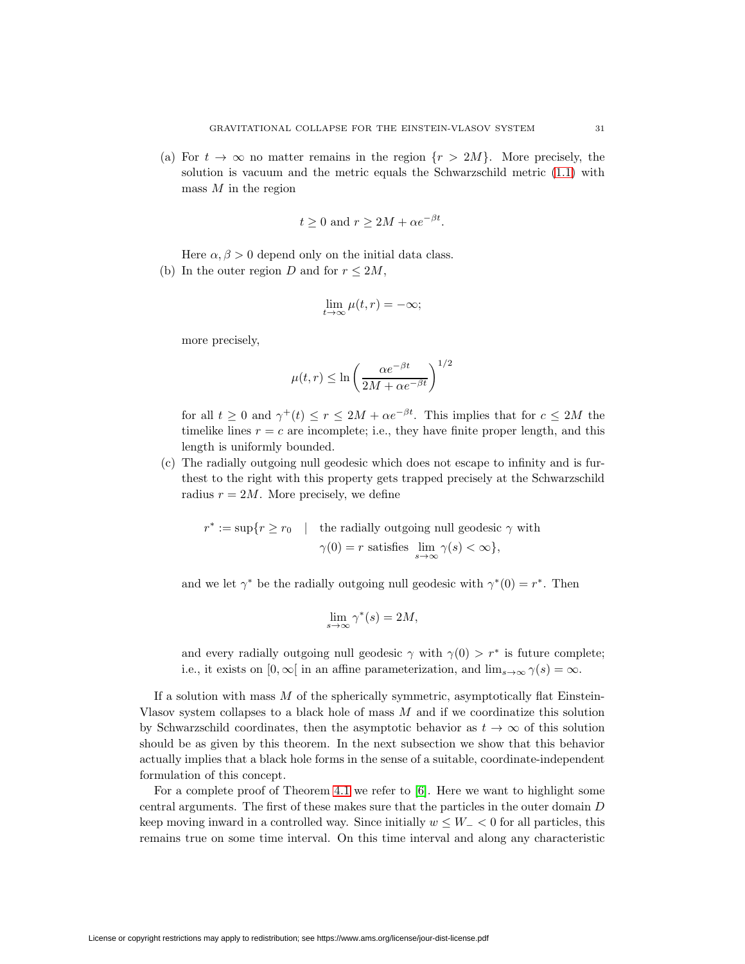(a) For  $t \to \infty$  no matter remains in the region  $\{r > 2M\}$ . More precisely, the solution is vacuum and the metric equals the Schwarzschild metric [\(1.1\)](#page-1-0) with mass  $M$  in the region

$$
t \ge 0
$$
 and  $r \ge 2M + \alpha e^{-\beta t}$ .

Here  $\alpha, \beta > 0$  depend only on the initial data class. (b) In the outer region D and for  $r \leq 2M$ ,

$$
\lim_{t \to \infty} \mu(t, r) = -\infty;
$$

more precisely,

$$
\mu(t,r) \le \ln\left(\frac{\alpha e^{-\beta t}}{2M + \alpha e^{-\beta t}}\right)^{1/2}
$$

for all  $t \geq 0$  and  $\gamma^+(t) \leq r \leq 2M + \alpha e^{-\beta t}$ . This implies that for  $c \leq 2M$  the timelike lines  $r = c$  are incomplete; i.e., they have finite proper length, and this length is uniformly bounded.

(c) The radially outgoing null geodesic which does not escape to infinity and is furthest to the right with this property gets trapped precisely at the Schwarzschild radius  $r = 2M$ . More precisely, we define

 $r^* := \sup\{r \ge r_0 \quad |$  the radially outgoing null geodesic  $\gamma$  with  $\gamma(0) = r$  satisfies  $\lim_{s \to \infty} \gamma(s) < \infty$ ,

and we let  $\gamma^*$  be the radially outgoing null geodesic with  $\gamma^*(0) = r^*$ . Then

$$
\lim_{s \to \infty} \gamma^*(s) = 2M,
$$

and every radially outgoing null geodesic  $\gamma$  with  $\gamma(0) > r^*$  is future complete; i.e., it exists on  $[0, \infty)$  in an affine parameterization, and  $\lim_{s\to\infty} \gamma(s) = \infty$ .

If a solution with mass  $M$  of the spherically symmetric, asymptotically flat Einstein-Vlasov system collapses to a black hole of mass M and if we coordinatize this solution by Schwarzschild coordinates, then the asymptotic behavior as  $t \to \infty$  of this solution should be as given by this theorem. In the next subsection we show that this behavior actually implies that a black hole forms in the sense of a suitable, coordinate-independent formulation of this concept.

For a complete proof of Theorem [4.1](#page-13-1) we refer to [\[6\]](#page-23-11). Here we want to highlight some central arguments. The first of these makes sure that the particles in the outer domain D keep moving inward in a controlled way. Since initially  $w \leq W - \leq 0$  for all particles, this remains true on some time interval. On this time interval and along any characteristic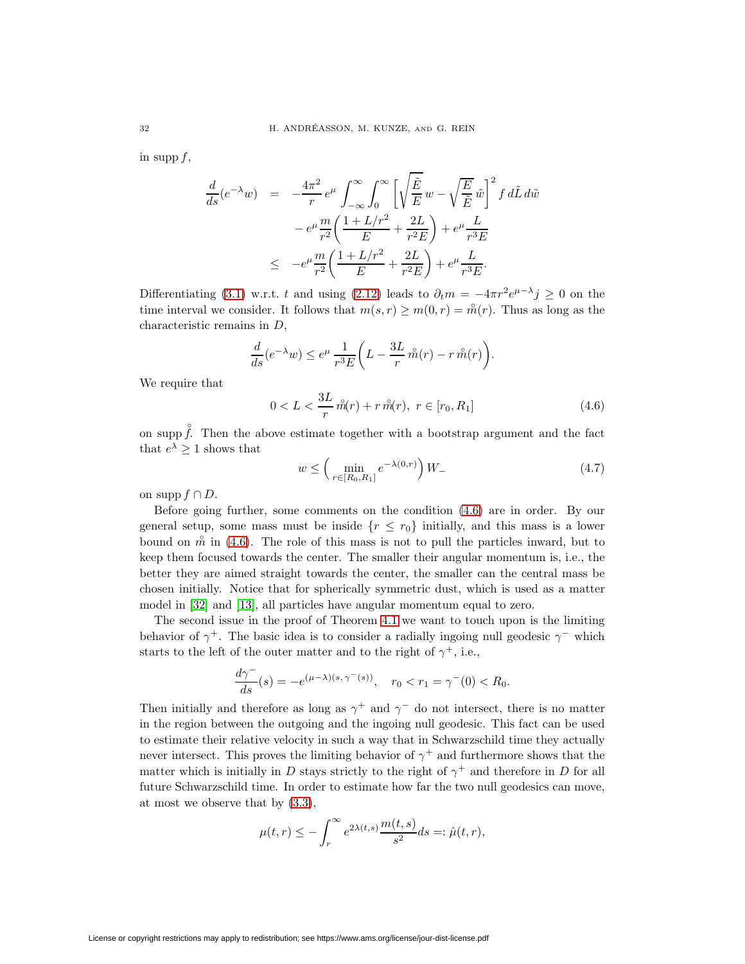in supp f,

$$
\frac{d}{ds}(e^{-\lambda}w) = -\frac{4\pi^2}{r}e^{\mu}\int_{-\infty}^{\infty}\int_0^{\infty}\left[\sqrt{\frac{\tilde{E}}{E}}w - \sqrt{\frac{E}{\tilde{E}}}\tilde{w}\right]^2 f d\tilde{L} d\tilde{w}
$$

$$
-e^{\mu}\frac{m}{r^2}\left(\frac{1+L/r^2}{E} + \frac{2L}{r^2E}\right) + e^{\mu}\frac{L}{r^3E}
$$

$$
\leq -e^{\mu}\frac{m}{r^2}\left(\frac{1+L/r^2}{E} + \frac{2L}{r^2E}\right) + e^{\mu}\frac{L}{r^3E}.
$$

Differentiating [\(3.1\)](#page-7-1) w.r.t. t and using [\(2.12\)](#page-6-5) leads to  $\partial_t m = -4\pi r^2 e^{\mu-\lambda} j \ge 0$  on the time interval we consider. It follows that  $m(s, r) \ge m(0, r) = \mathring{m}(r)$ . Thus as long as the characteristic remains in D,

$$
\frac{d}{ds}(e^{-\lambda}w) \le e^{\mu}\,\frac{1}{r^3E}\bigg(L - \frac{3L}{r}\,\mathring{m}(r) - r\,\mathring{m}(r)\bigg).
$$

<span id="page-15-0"></span>We require that

$$
0 < L < \frac{3L}{r} \hat{m}(r) + r \hat{m}(r), \ r \in [r_0, R_1] \tag{4.6}
$$

<span id="page-15-1"></span>on supp  $\hat{f}$ . Then the above estimate together with a bootstrap argument and the fact that  $e^{\lambda} \geq 1$  shows that

$$
w \leq \left(\min_{r \in [R_0, R_1]} e^{-\lambda(0, r)}\right) W.
$$
\n(4.7)

on supp  $f \cap D$ .

Before going further, some comments on the condition [\(4.6\)](#page-15-0) are in order. By our general setup, some mass must be inside  $\{r \leq r_0\}$  initially, and this mass is a lower bound on  $\hat{m}$  in [\(4.6\)](#page-15-0). The role of this mass is not to pull the particles inward, but to keep them focused towards the center. The smaller their angular momentum is, i.e., the better they are aimed straight towards the center, the smaller can the central mass be chosen initially. Notice that for spherically symmetric dust, which is used as a matter model in [\[32\]](#page-24-2) and [\[13\]](#page-23-3), all particles have angular momentum equal to zero.

The second issue in the proof of Theorem [4.1](#page-13-1) we want to touch upon is the limiting behavior of  $\gamma^+$ . The basic idea is to consider a radially ingoing null geodesic  $\gamma^-$  which starts to the left of the outer matter and to the right of  $\gamma^+$ , i.e.,

$$
\frac{d\gamma^-}{ds}(s) = -e^{(\mu - \lambda)(s, \gamma^-(s))}, \quad r_0 < r_1 = \gamma^-(0) < R_0.
$$

Then initially and therefore as long as  $\gamma^+$  and  $\gamma^-$  do not intersect, there is no matter in the region between the outgoing and the ingoing null geodesic. This fact can be used to estimate their relative velocity in such a way that in Schwarzschild time they actually never intersect. This proves the limiting behavior of  $\gamma^+$  and furthermore shows that the matter which is initially in D stays strictly to the right of  $\gamma^+$  and therefore in D for all future Schwarzschild time. In order to estimate how far the two null geodesics can move, at most we observe that by [\(3.3\)](#page-7-4),

$$
\mu(t,r) \le -\int_r^{\infty} e^{2\lambda(t,s)} \frac{m(t,s)}{s^2} ds =: \hat{\mu}(t,r),
$$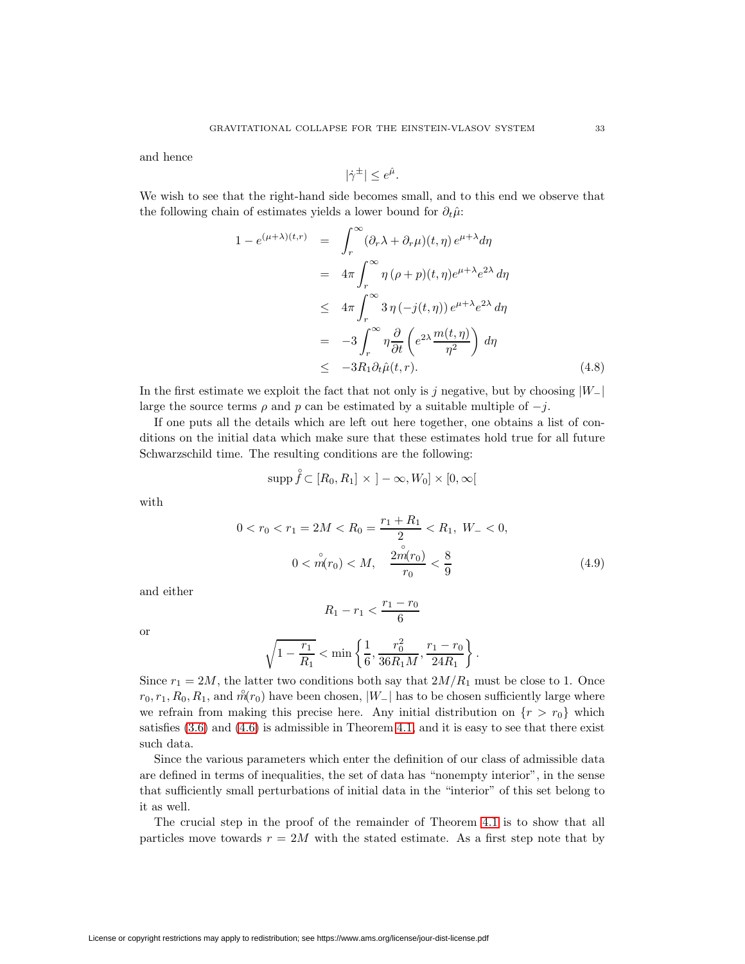and hence

$$
|\dot{\gamma}^{\pm}| \leq e^{\hat{\mu}}.
$$

<span id="page-16-1"></span>We wish to see that the right-hand side becomes small, and to this end we observe that the following chain of estimates yields a lower bound for  $\partial_t \hat{\mu}$ :

$$
1 - e^{(\mu + \lambda)(t,r)} = \int_{r}^{\infty} (\partial_r \lambda + \partial_r \mu)(t, \eta) e^{\mu + \lambda} d\eta
$$
  
\n
$$
= 4\pi \int_{r}^{\infty} \eta (\rho + p)(t, \eta) e^{\mu + \lambda} e^{2\lambda} d\eta
$$
  
\n
$$
\leq 4\pi \int_{r}^{\infty} 3\eta (-j(t, \eta)) e^{\mu + \lambda} e^{2\lambda} d\eta
$$
  
\n
$$
= -3 \int_{r}^{\infty} \eta \frac{\partial}{\partial t} \left( e^{2\lambda} \frac{m(t, \eta)}{\eta^2} \right) d\eta
$$
  
\n
$$
\leq -3R_1 \partial_t \hat{\mu}(t, r). \tag{4.8}
$$

In the first estimate we exploit the fact that not only is j negative, but by choosing  $|W_-\rangle$ large the source terms  $\rho$  and  $p$  can be estimated by a suitable multiple of  $-j$ .

If one puts all the details which are left out here together, one obtains a list of conditions on the initial data which make sure that these estimates hold true for all future Schwarzschild time. The resulting conditions are the following:

$$
\operatorname{supp} \mathring{f} \subset [R_0, R_1] \times ]-\infty, W_0] \times [0, \infty[
$$

with

$$
0 < r_0 < r_1 = 2M < R_0 = \frac{r_1 + R_1}{2} < R_1, \ W_- < 0,
$$
\n
$$
0 < \stackrel{\circ}{m}(r_0) < M, \quad \frac{2\stackrel{\circ}{m}(r_0)}{r_0} < \frac{8}{9} \tag{4.9}
$$

and either

<span id="page-16-0"></span>
$$
R_1 - r_1 < \frac{r_1 - r_0}{6}
$$

or

$$
\sqrt{1 - \frac{r_1}{R_1}} < \min\left\{\frac{1}{6}, \frac{r_0^2}{36R_1M}, \frac{r_1 - r_0}{24R_1}\right\}.
$$

Since  $r_1 = 2M$ , the latter two conditions both say that  $2M/R_1$  must be close to 1. Once  $r_0, r_1, R_0, R_1$ , and  $\hat{m}(r_0)$  have been chosen,  $|W_-|$  has to be chosen sufficiently large where we refrain from making this precise here. Any initial distribution on  $\{r>r_0\}$  which satisfies  $(3.6)$  and  $(4.6)$  is admissible in Theorem [4.1,](#page-13-1) and it is easy to see that there exist such data.

Since the various parameters which enter the definition of our class of admissible data are defined in terms of inequalities, the set of data has "nonempty interior", in the sense that sufficiently small perturbations of initial data in the "interior" of this set belong to it as well.

The crucial step in the proof of the remainder of Theorem [4.1](#page-13-1) is to show that all particles move towards  $r = 2M$  with the stated estimate. As a first step note that by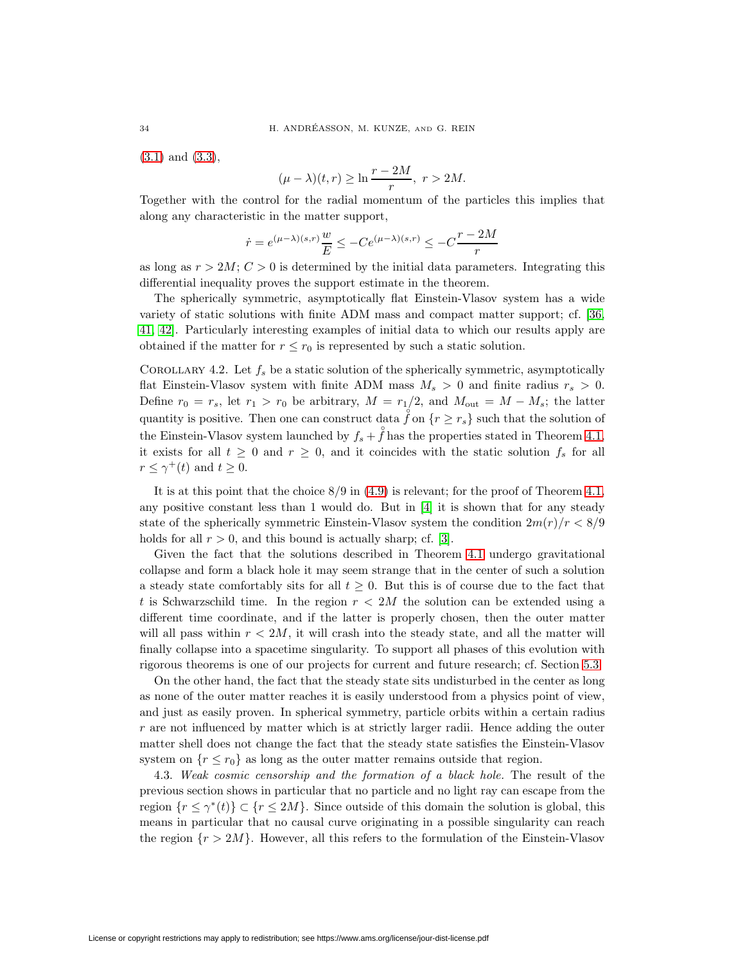[\(3.1\)](#page-7-1) and [\(3.3\)](#page-7-4),

$$
(\mu - \lambda)(t, r) \ge \ln \frac{r - 2M}{r}, \ r > 2M.
$$

Together with the control for the radial momentum of the particles this implies that along any characteristic in the matter support,

$$
\dot{r} = e^{(\mu - \lambda)(s,r)} \frac{w}{E} \le -Ce^{(\mu - \lambda)(s,r)} \le -C \frac{r - 2M}{r}
$$

as long as  $r > 2M$ ;  $C > 0$  is determined by the initial data parameters. Integrating this differential inequality proves the support estimate in the theorem.

The spherically symmetric, asymptotically flat Einstein-Vlasov system has a wide variety of static solutions with finite ADM mass and compact matter support; cf. [\[36,](#page-24-19) [41,](#page-24-20) [42\]](#page-24-21). Particularly interesting examples of initial data to which our results apply are obtained if the matter for  $r \leq r_0$  is represented by such a static solution.

COROLLARY 4.2. Let  $f_s$  be a static solution of the spherically symmetric, asymptotically flat Einstein-Vlasov system with finite ADM mass  $M_s > 0$  and finite radius  $r_s > 0$ . Define  $r_0 = r_s$ , let  $r_1 > r_0$  be arbitrary,  $M = r_1/2$ , and  $M_{\text{out}} = M - M_s$ ; the latter quantity is positive. Then one can construct data  $\hat{f}$  on  $\{r \geq r_s\}$  such that the solution of the Einstein-Vlasov system launched by  $f_s + \hat{f}$  has the properties stated in Theorem [4.1,](#page-13-1) it exists for all  $t \geq 0$  and  $r \geq 0$ , and it coincides with the static solution  $f_s$  for all  $r \leq \gamma^+(t)$  and  $t \geq 0$ .

It is at this point that the choice  $8/9$  in  $(4.9)$  is relevant; for the proof of Theorem [4.1,](#page-13-1) any positive constant less than 1 would do. But in [\[4\]](#page-23-12) it is shown that for any steady state of the spherically symmetric Einstein-Vlasov system the condition  $2m(r)/r < 8/9$ holds for all  $r > 0$ , and this bound is actually sharp; cf. [\[3\]](#page-23-13).

Given the fact that the solutions described in Theorem [4.1](#page-13-1) undergo gravitational collapse and form a black hole it may seem strange that in the center of such a solution a steady state comfortably sits for all  $t \geq 0$ . But this is of course due to the fact that t is Schwarzschild time. In the region  $r < 2M$  the solution can be extended using a different time coordinate, and if the latter is properly chosen, then the outer matter will all pass within  $r < 2M$ , it will crash into the steady state, and all the matter will finally collapse into a spacetime singularity. To support all phases of this evolution with rigorous theorems is one of our projects for current and future research; cf. Section [5.3.](#page-22-0)

On the other hand, the fact that the steady state sits undisturbed in the center as long as none of the outer matter reaches it is easily understood from a physics point of view, and just as easily proven. In spherical symmetry, particle orbits within a certain radius  $r$  are not influenced by matter which is at strictly larger radii. Hence adding the outer matter shell does not change the fact that the steady state satisfies the Einstein-Vlasov system on  $\{r \leq r_0\}$  as long as the outer matter remains outside that region.

<span id="page-17-0"></span>4.3. Weak cosmic censorship and the formation of a black hole. The result of the previous section shows in particular that no particle and no light ray can escape from the region  $\{r \leq \gamma^*(t)\} \subset \{r \leq 2M\}$ . Since outside of this domain the solution is global, this means in particular that no causal curve originating in a possible singularity can reach the region  $\{r > 2M\}$ . However, all this refers to the formulation of the Einstein-Vlasov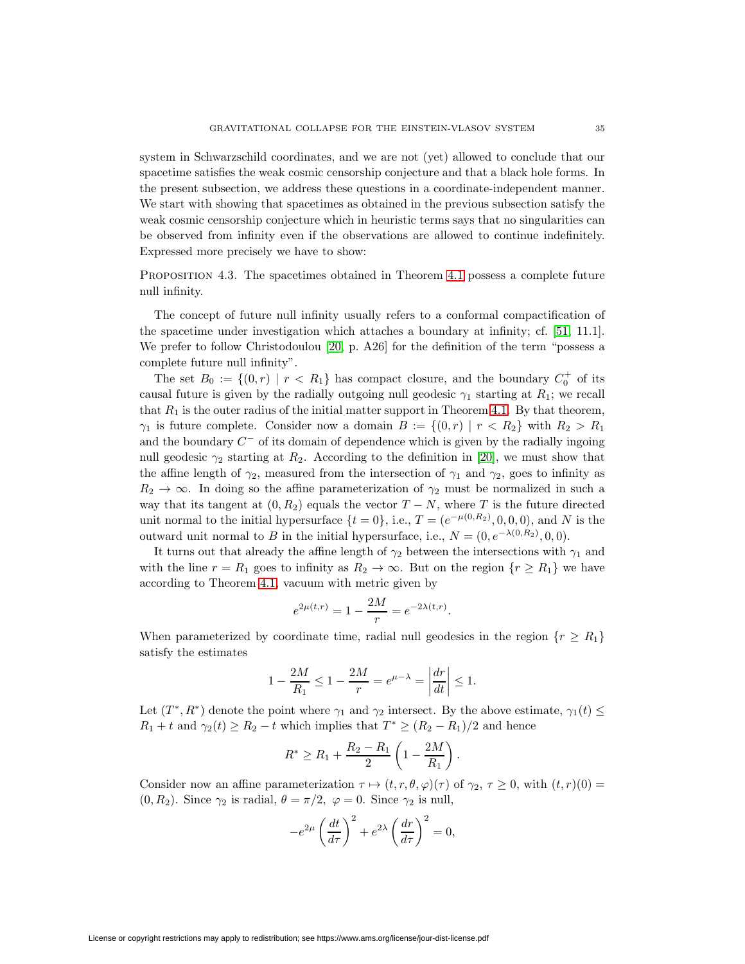system in Schwarzschild coordinates, and we are not (yet) allowed to conclude that our spacetime satisfies the weak cosmic censorship conjecture and that a black hole forms. In the present subsection, we address these questions in a coordinate-independent manner. We start with showing that spacetimes as obtained in the previous subsection satisfy the weak cosmic censorship conjecture which in heuristic terms says that no singularities can be observed from infinity even if the observations are allowed to continue indefinitely. Expressed more precisely we have to show:

<span id="page-18-0"></span>Proposition 4.3. The spacetimes obtained in Theorem [4.1](#page-13-1) possess a complete future null infinity.

The concept of future null infinity usually refers to a conformal compactification of the spacetime under investigation which attaches a boundary at infinity; cf. [\[51,](#page-25-1) 11.1]. We prefer to follow Christodoulou [\[20,](#page-23-0) p. A26] for the definition of the term "possess a complete future null infinity".

The set  $B_0 := \{(0,r) | r < R_1\}$  has compact closure, and the boundary  $C_0^+$  of its causal future is given by the radially outgoing null geodesic  $\gamma_1$  starting at  $R_1$ ; we recall that  $R_1$  is the outer radius of the initial matter support in Theorem [4.1.](#page-13-1) By that theorem,  $\gamma_1$  is future complete. Consider now a domain  $B := \{(0, r) | r < R_2\}$  with  $R_2 > R_1$ and the boundary  $C^-$  of its domain of dependence which is given by the radially ingoing null geodesic  $\gamma_2$  starting at  $R_2$ . According to the definition in [\[20\]](#page-23-0), we must show that the affine length of  $\gamma_2$ , measured from the intersection of  $\gamma_1$  and  $\gamma_2$ , goes to infinity as  $R_2 \rightarrow \infty$ . In doing so the affine parameterization of  $\gamma_2$  must be normalized in such a way that its tangent at  $(0, R_2)$  equals the vector  $T - N$ , where T is the future directed unit normal to the initial hypersurface  $\{t=0\}$ , i.e.,  $T=(e^{-\mu(0,R_2)},0,0,0)$ , and N is the outward unit normal to B in the initial hypersurface, i.e.,  $N = (0, e^{-\lambda(0,R_2)}, 0, 0)$ .

It turns out that already the affine length of  $\gamma_2$  between the intersections with  $\gamma_1$  and with the line  $r = R_1$  goes to infinity as  $R_2 \to \infty$ . But on the region  $\{r \geq R_1\}$  we have according to Theorem [4.1,](#page-13-1) vacuum with metric given by

$$
e^{2\mu(t,r)} = 1 - \frac{2M}{r} = e^{-2\lambda(t,r)}.
$$

When parameterized by coordinate time, radial null geodesics in the region  $\{r \geq R_1\}$ satisfy the estimates

$$
1 - \frac{2M}{R_1} \le 1 - \frac{2M}{r} = e^{\mu - \lambda} = \left| \frac{dr}{dt} \right| \le 1.
$$

Let  $(T^*, R^*)$  denote the point where  $\gamma_1$  and  $\gamma_2$  intersect. By the above estimate,  $\gamma_1(t) \leq$  $R_1 + t$  and  $\gamma_2(t) \ge R_2 - t$  which implies that  $T^* \ge (R_2 - R_1)/2$  and hence

$$
R^* \ge R_1 + \frac{R_2 - R_1}{2} \left( 1 - \frac{2M}{R_1} \right).
$$

Consider now an affine parameterization  $\tau \mapsto (t, r, \theta, \varphi)(\tau)$  of  $\gamma_2, \tau \geq 0$ , with  $(t, r)(0) =$  $(0, R_2)$ . Since  $\gamma_2$  is radial,  $\theta = \pi/2$ ,  $\varphi = 0$ . Since  $\gamma_2$  is null,

$$
-e^{2\mu} \left(\frac{dt}{d\tau}\right)^2 + e^{2\lambda} \left(\frac{dr}{d\tau}\right)^2 = 0,
$$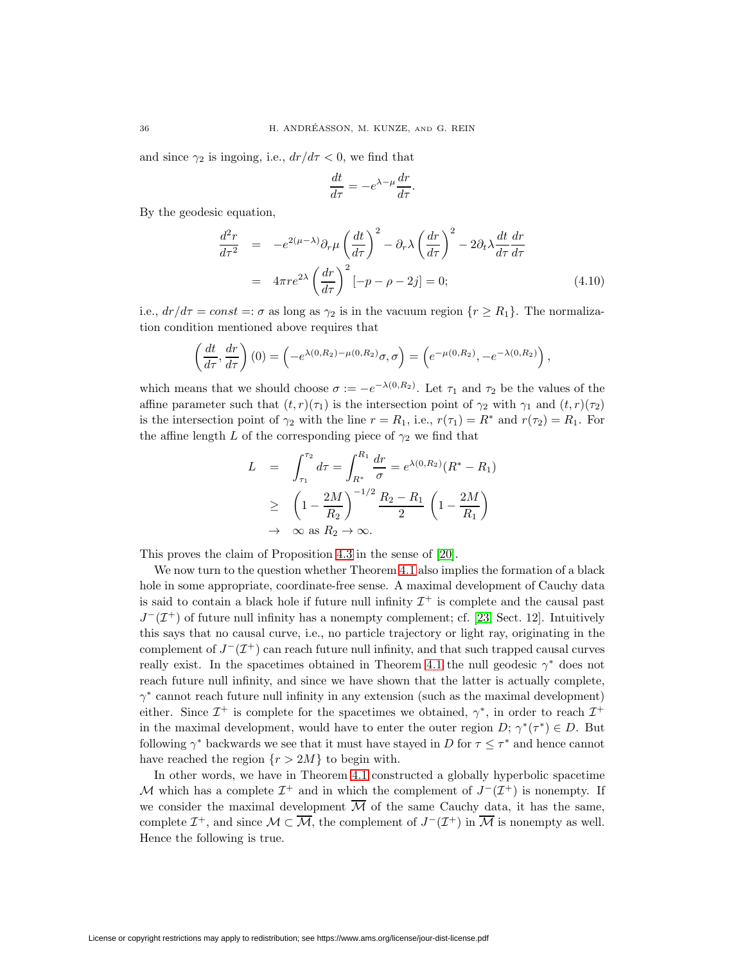and since  $\gamma_2$  is ingoing, i.e.,  $dr/d\tau < 0$ , we find that

$$
\frac{dt}{d\tau} = -e^{\lambda - \mu} \frac{dr}{d\tau}.
$$

<span id="page-19-0"></span>By the geodesic equation,

$$
\frac{d^2r}{d\tau^2} = -e^{2(\mu-\lambda)}\partial_r\mu \left(\frac{dt}{d\tau}\right)^2 - \partial_r\lambda \left(\frac{dr}{d\tau}\right)^2 - 2\partial_t\lambda \frac{dt}{d\tau}\frac{dr}{d\tau}
$$

$$
= 4\pi r e^{2\lambda} \left(\frac{dr}{d\tau}\right)^2 \left[-p - \rho - 2j\right] = 0; \tag{4.10}
$$

i.e.,  $dr/d\tau = const =: \sigma$  as long as  $\gamma_2$  is in the vacuum region  $\{r \geq R_1\}$ . The normalization condition mentioned above requires that

$$
\left(\frac{dt}{d\tau},\frac{dr}{d\tau}\right)(0)=\left(-e^{\lambda(0,R_2)-\mu(0,R_2)}\sigma,\sigma\right)=\left(e^{-\mu(0,R_2)},-e^{-\lambda(0,R_2)}\right),
$$

which means that we should choose  $\sigma := -e^{-\lambda(0,R_2)}$ . Let  $\tau_1$  and  $\tau_2$  be the values of the affine parameter such that  $(t, r)(\tau_1)$  is the intersection point of  $\gamma_2$  with  $\gamma_1$  and  $(t, r)(\tau_2)$ is the intersection point of  $\gamma_2$  with the line  $r = R_1$ , i.e.,  $r(\tau_1) = R^*$  and  $r(\tau_2) = R_1$ . For the affine length L of the corresponding piece of  $\gamma_2$  we find that

$$
L = \int_{\tau_1}^{\tau_2} d\tau = \int_{R^*}^{R_1} \frac{dr}{\sigma} = e^{\lambda(0, R_2)} (R^* - R_1)
$$
  
\n
$$
\geq \left(1 - \frac{2M}{R_2}\right)^{-1/2} \frac{R_2 - R_1}{2} \left(1 - \frac{2M}{R_1}\right)
$$
  
\n
$$
\to \infty \text{ as } R_2 \to \infty.
$$

This proves the claim of Proposition [4.3](#page-18-0) in the sense of [\[20\]](#page-23-0).

We now turn to the question whether Theorem [4.1](#page-13-1) also implies the formation of a black hole in some appropriate, coordinate-free sense. A maximal development of Cauchy data is said to contain a black hole if future null infinity  $\mathcal{I}^+$  is complete and the causal past  $J^-(\mathcal{I}^+)$  of future null infinity has a nonempty complement; cf. [\[23,](#page-24-18) Sect. 12]. Intuitively this says that no causal curve, i.e., no particle trajectory or light ray, originating in the complement of  $J^-(\mathcal{I}^+)$  can reach future null infinity, and that such trapped causal curves really exist. In the spacetimes obtained in Theorem [4.1](#page-13-1) the null geodesic  $\gamma^*$  does not reach future null infinity, and since we have shown that the latter is actually complete,  $\gamma^*$  cannot reach future null infinity in any extension (such as the maximal development) either. Since  $\mathcal{I}^+$  is complete for the spacetimes we obtained,  $\gamma^*$ , in order to reach  $\mathcal{I}^+$ in the maximal development, would have to enter the outer region  $D$ ;  $\gamma^*(\tau^*) \in D$ . But following  $\gamma^*$  backwards we see that it must have stayed in D for  $\tau \leq \tau^*$  and hence cannot have reached the region  $\{r > 2M\}$  to begin with.

In other words, we have in Theorem [4.1](#page-13-1) constructed a globally hyperbolic spacetime M which has a complete  $\mathcal{I}^+$  and in which the complement of  $J^-(\mathcal{I}^+)$  is nonempty. If we consider the maximal development  $\overline{\mathcal{M}}$  of the same Cauchy data, it has the same, complete  $\mathcal{I}^+$ , and since  $\mathcal{M} \subset \overline{\mathcal{M}}$ , the complement of  $J^-(\mathcal{I}^+)$  in  $\overline{\mathcal{M}}$  is nonempty as well. Hence the following is true.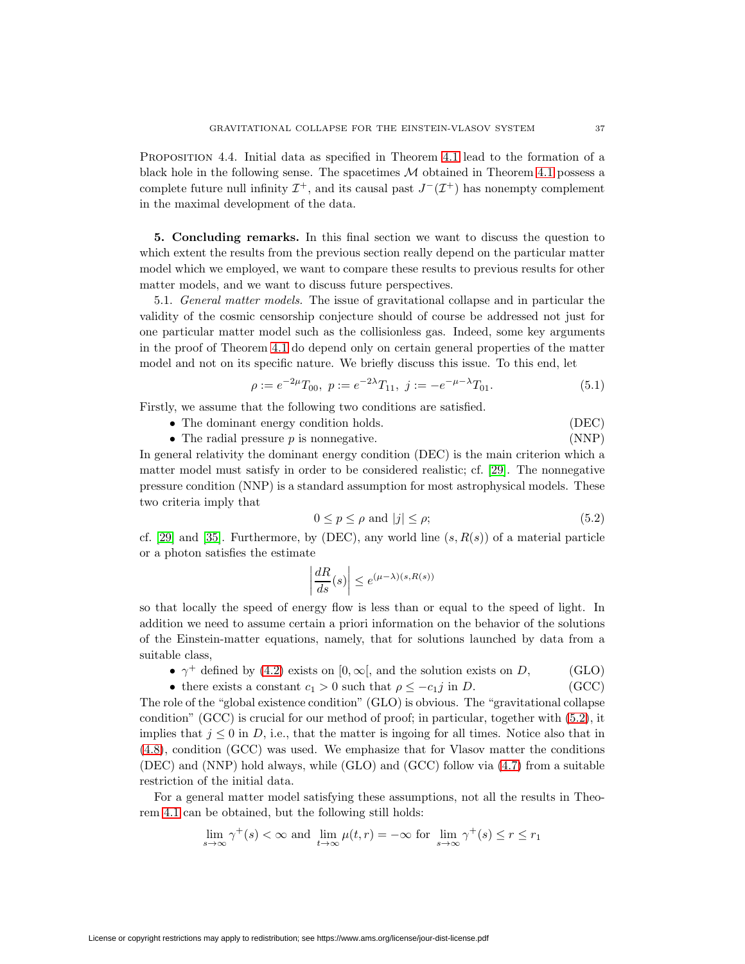Proposition 4.4. Initial data as specified in Theorem [4.1](#page-13-1) lead to the formation of a black hole in the following sense. The spacetimes  $M$  obtained in Theorem [4.1](#page-13-1) possess a complete future null infinity  $\mathcal{I}^+$ , and its causal past  $J^-(\mathcal{I}^+)$  has nonempty complement in the maximal development of the data.

**5. Concluding remarks.** In this final section we want to discuss the question to which extent the results from the previous section really depend on the particular matter model which we employed, we want to compare these results to previous results for other matter models, and we want to discuss future perspectives.

5.1. General matter models. The issue of gravitational collapse and in particular the validity of the cosmic censorship conjecture should of course be addressed not just for one particular matter model such as the collisionless gas. Indeed, some key arguments in the proof of Theorem [4.1](#page-13-1) do depend only on certain general properties of the matter model and not on its specific nature. We briefly discuss this issue. To this end, let

$$
\rho := e^{-2\mu} T_{00}, \ p := e^{-2\lambda} T_{11}, \ j := -e^{-\mu - \lambda} T_{01}.
$$
\n(5.1)

Firstly, we assume that the following two conditions are satisfied.

- The dominant energy condition holds. (DEC)
- The radial pressure  $p$  is nonnegative. (NNP)

In general relativity the dominant energy condition (DEC) is the main criterion which a matter model must satisfy in order to be considered realistic; cf. [\[29\]](#page-24-22). The nonnegative pressure condition (NNP) is a standard assumption for most astrophysical models. These two criteria imply that

$$
0 \le p \le \rho \text{ and } |j| \le \rho; \tag{5.2}
$$

<span id="page-20-0"></span>cf. [\[29\]](#page-24-22) and [\[35\]](#page-24-23). Furthermore, by (DEC), any world line  $(s, R(s))$  of a material particle or a photon satisfies the estimate

$$
\left|\frac{dR}{ds}(s)\right| \le e^{(\mu-\lambda)(s,R(s))}
$$

so that locally the speed of energy flow is less than or equal to the speed of light. In addition we need to assume certain a priori information on the behavior of the solutions of the Einstein-matter equations, namely, that for solutions launched by data from a suitable class,

- $\gamma^+$  defined by [\(4.2\)](#page-12-1) exists on  $[0, \infty)$ , and the solution exists on D, (GLO)
- there exists a constant  $c_1 > 0$  such that  $\rho \leq -c_1j$  in D. (GCC)

The role of the "global existence condition" (GLO) is obvious. The "gravitational collapse condition" (GCC) is crucial for our method of proof; in particular, together with [\(5.2\)](#page-20-0), it implies that  $j \leq 0$  in D, i.e., that the matter is ingoing for all times. Notice also that in [\(4.8\)](#page-16-1), condition (GCC) was used. We emphasize that for Vlasov matter the conditions (DEC) and (NNP) hold always, while (GLO) and (GCC) follow via [\(4.7\)](#page-15-1) from a suitable restriction of the initial data.

For a general matter model satisfying these assumptions, not all the results in Theorem [4.1](#page-13-1) can be obtained, but the following still holds:

$$
\lim_{s \to \infty} \gamma^+(s) < \infty \text{ and } \lim_{t \to \infty} \mu(t, r) = -\infty \text{ for } \lim_{s \to \infty} \gamma^+(s) \le r \le r_1
$$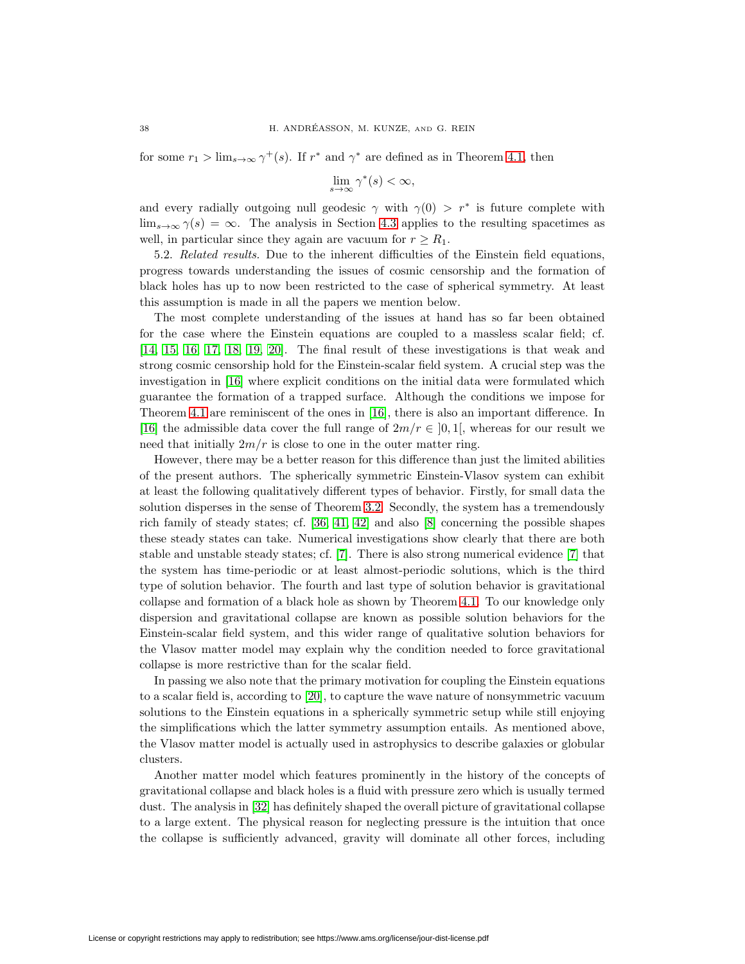for some  $r_1 > \lim_{s \to \infty} \gamma^+(s)$ . If  $r^*$  and  $\gamma^*$  are defined as in Theorem [4.1,](#page-13-1) then

$$
\lim_{s \to \infty} \gamma^*(s) < \infty,
$$

and every radially outgoing null geodesic  $\gamma$  with  $\gamma(0) > r^*$  is future complete with  $\lim_{s\to\infty} \gamma(s) = \infty$ . The analysis in Section [4.3](#page-17-0) applies to the resulting spacetimes as well, in particular since they again are vacuum for  $r \geq R_1$ .

5.2. Related results. Due to the inherent difficulties of the Einstein field equations, progress towards understanding the issues of cosmic censorship and the formation of black holes has up to now been restricted to the case of spherical symmetry. At least this assumption is made in all the papers we mention below.

The most complete understanding of the issues at hand has so far been obtained for the case where the Einstein equations are coupled to a massless scalar field; cf. [\[14,](#page-23-14) [15,](#page-23-15) [16,](#page-23-16) [17,](#page-23-17) [18,](#page-23-1) [19,](#page-23-2) [20\]](#page-23-0). The final result of these investigations is that weak and strong cosmic censorship hold for the Einstein-scalar field system. A crucial step was the investigation in [\[16\]](#page-23-16) where explicit conditions on the initial data were formulated which guarantee the formation of a trapped surface. Although the conditions we impose for Theorem [4.1](#page-13-1) are reminiscent of the ones in [\[16\]](#page-23-16), there is also an important difference. In [\[16\]](#page-23-16) the admissible data cover the full range of  $2m/r \in [0,1]$ , whereas for our result we need that initially  $2m/r$  is close to one in the outer matter ring.

However, there may be a better reason for this difference than just the limited abilities of the present authors. The spherically symmetric Einstein-Vlasov system can exhibit at least the following qualitatively different types of behavior. Firstly, for small data the solution disperses in the sense of Theorem [3.2.](#page-9-0) Secondly, the system has a tremendously rich family of steady states; cf. [\[36,](#page-24-19) [41,](#page-24-20) [42\]](#page-24-21) and also [\[8\]](#page-23-18) concerning the possible shapes these steady states can take. Numerical investigations show clearly that there are both stable and unstable steady states; cf. [\[7\]](#page-23-10). There is also strong numerical evidence [\[7\]](#page-23-10) that the system has time-periodic or at least almost-periodic solutions, which is the third type of solution behavior. The fourth and last type of solution behavior is gravitational collapse and formation of a black hole as shown by Theorem [4.1.](#page-13-1) To our knowledge only dispersion and gravitational collapse are known as possible solution behaviors for the Einstein-scalar field system, and this wider range of qualitative solution behaviors for the Vlasov matter model may explain why the condition needed to force gravitational collapse is more restrictive than for the scalar field.

In passing we also note that the primary motivation for coupling the Einstein equations to a scalar field is, according to [\[20\]](#page-23-0), to capture the wave nature of nonsymmetric vacuum solutions to the Einstein equations in a spherically symmetric setup while still enjoying the simplifications which the latter symmetry assumption entails. As mentioned above, the Vlasov matter model is actually used in astrophysics to describe galaxies or globular clusters.

Another matter model which features prominently in the history of the concepts of gravitational collapse and black holes is a fluid with pressure zero which is usually termed dust. The analysis in [\[32\]](#page-24-2) has definitely shaped the overall picture of gravitational collapse to a large extent. The physical reason for neglecting pressure is the intuition that once the collapse is sufficiently advanced, gravity will dominate all other forces, including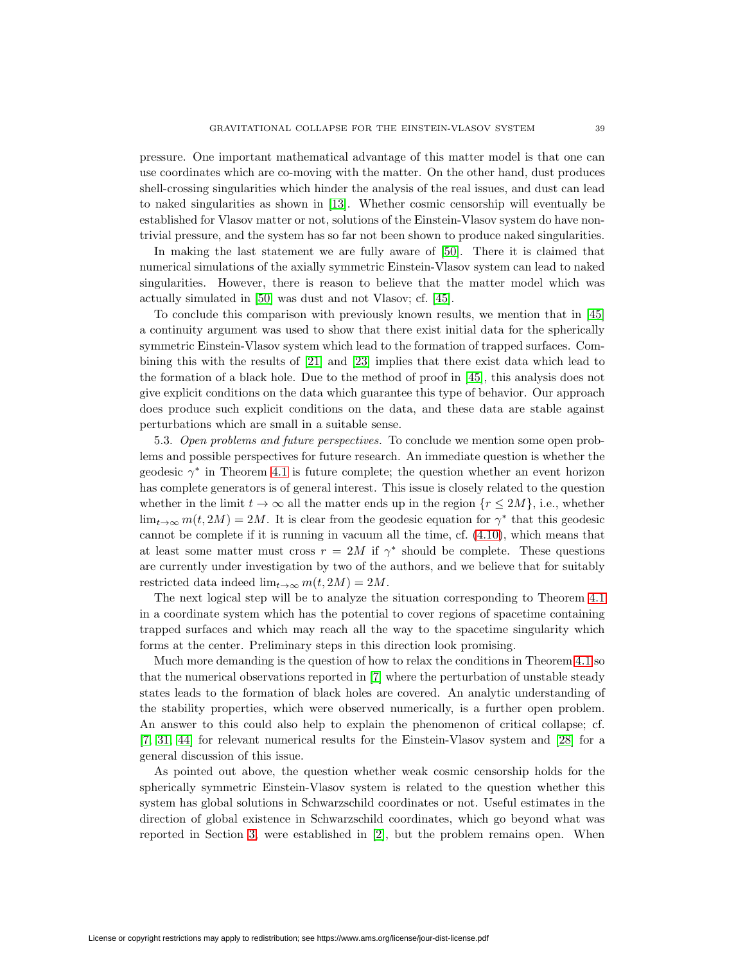pressure. One important mathematical advantage of this matter model is that one can use coordinates which are co-moving with the matter. On the other hand, dust produces shell-crossing singularities which hinder the analysis of the real issues, and dust can lead to naked singularities as shown in [\[13\]](#page-23-3). Whether cosmic censorship will eventually be established for Vlasov matter or not, solutions of the Einstein-Vlasov system do have nontrivial pressure, and the system has so far not been shown to produce naked singularities.

In making the last statement we are fully aware of [\[50\]](#page-25-2). There it is claimed that numerical simulations of the axially symmetric Einstein-Vlasov system can lead to naked singularities. However, there is reason to believe that the matter model which was actually simulated in [\[50\]](#page-25-2) was dust and not Vlasov; cf. [\[45\]](#page-24-24).

To conclude this comparison with previously known results, we mention that in [\[45\]](#page-24-24) a continuity argument was used to show that there exist initial data for the spherically symmetric Einstein-Vlasov system which lead to the formation of trapped surfaces. Combining this with the results of [\[21\]](#page-24-25) and [\[23\]](#page-24-18) implies that there exist data which lead to the formation of a black hole. Due to the method of proof in [\[45\]](#page-24-24), this analysis does not give explicit conditions on the data which guarantee this type of behavior. Our approach does produce such explicit conditions on the data, and these data are stable against perturbations which are small in a suitable sense.

<span id="page-22-0"></span>5.3. Open problems and future perspectives. To conclude we mention some open problems and possible perspectives for future research. An immediate question is whether the geodesic  $\gamma^*$  in Theorem [4.1](#page-13-1) is future complete; the question whether an event horizon has complete generators is of general interest. This issue is closely related to the question whether in the limit  $t \to \infty$  all the matter ends up in the region  $\{r \leq 2M\}$ , i.e., whether  $\lim_{t\to\infty} m(t, 2M) = 2M$ . It is clear from the geodesic equation for  $\gamma^*$  that this geodesic cannot be complete if it is running in vacuum all the time, cf. [\(4.10\)](#page-19-0), which means that at least some matter must cross  $r = 2M$  if  $\gamma^*$  should be complete. These questions are currently under investigation by two of the authors, and we believe that for suitably restricted data indeed  $\lim_{t\to\infty} m(t, 2M)=2M$ .

The next logical step will be to analyze the situation corresponding to Theorem [4.1](#page-13-1) in a coordinate system which has the potential to cover regions of spacetime containing trapped surfaces and which may reach all the way to the spacetime singularity which forms at the center. Preliminary steps in this direction look promising.

Much more demanding is the question of how to relax the conditions in Theorem [4.1](#page-13-1) so that the numerical observations reported in [\[7\]](#page-23-10) where the perturbation of unstable steady states leads to the formation of black holes are covered. An analytic understanding of the stability properties, which were observed numerically, is a further open problem. An answer to this could also help to explain the phenomenon of critical collapse; cf. [\[7,](#page-23-10) [31,](#page-24-15) [44\]](#page-24-16) for relevant numerical results for the Einstein-Vlasov system and [\[28\]](#page-24-26) for a general discussion of this issue.

As pointed out above, the question whether weak cosmic censorship holds for the spherically symmetric Einstein-Vlasov system is related to the question whether this system has global solutions in Schwarzschild coordinates or not. Useful estimates in the direction of global existence in Schwarzschild coordinates, which go beyond what was reported in Section [3,](#page-6-6) were established in [\[2\]](#page-23-19), but the problem remains open. When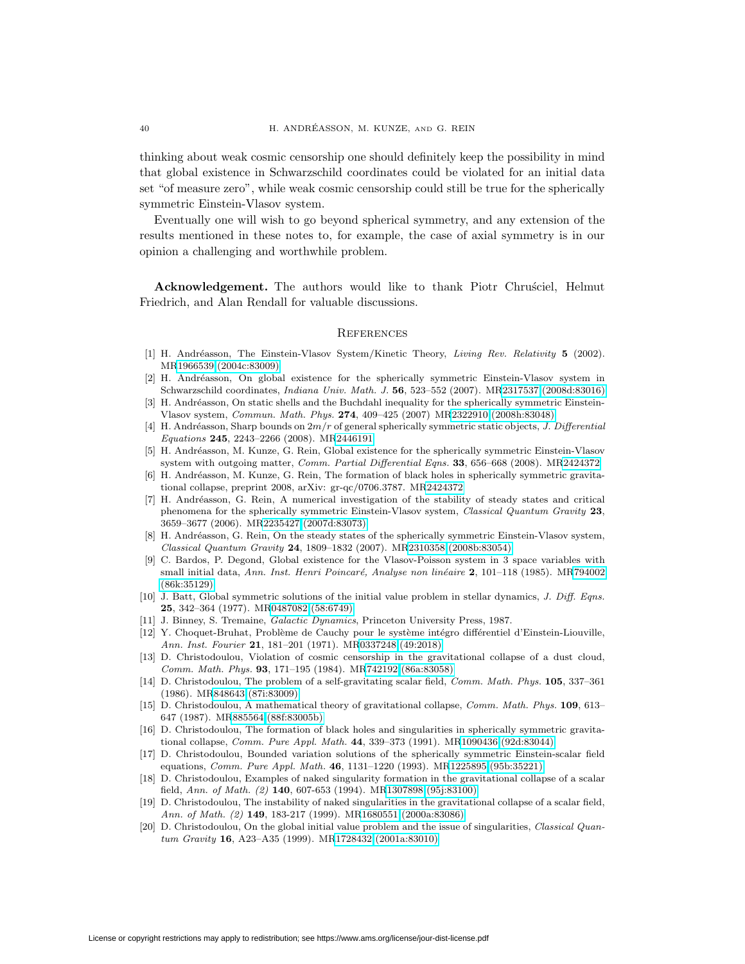thinking about weak cosmic censorship one should definitely keep the possibility in mind that global existence in Schwarzschild coordinates could be violated for an initial data set "of measure zero", while weak cosmic censorship could still be true for the spherically symmetric Einstein-Vlasov system.

Eventually one will wish to go beyond spherical symmetry, and any extension of the results mentioned in these notes to, for example, the case of axial symmetry is in our opinion a challenging and worthwhile problem.

Acknowledgement. The authors would like to thank Piotr Chrussiel, Helmut Friedrich, and Alan Rendall for valuable discussions.

## **REFERENCES**

- <span id="page-23-5"></span>[1] H. Andr´easson, The Einstein-Vlasov System/Kinetic Theory, Living Rev. Relativity **5** (2002). M[R1966539 \(2004c:83009\)](http://www.ams.org/mathscinet-getitem?mr=1966539)
- <span id="page-23-19"></span>[2] H. Andréasson, On global existence for the spherically symmetric Einstein-Vlasov system in Schwarzschild coordinates, Indiana Univ. Math. J. **56**, 523–552 (2007). M[R2317537 \(2008d:83016\)](http://www.ams.org/mathscinet-getitem?mr=2317537)
- <span id="page-23-13"></span>[3] H. Andréasson, On static shells and the Buchdahl inequality for the spherically symmetric Einstein-Vlasov system, Commun. Math. Phys. **274**, 409–425 (2007) M[R2322910 \(2008h:83048\)](http://www.ams.org/mathscinet-getitem?mr=2322910)
- <span id="page-23-12"></span>[4] H. Andréasson, Sharp bounds on  $2m/r$  of general spherically symmetric static objects, J. Differential Equations **245**, 2243–2266 (2008). M[R2446191](http://www.ams.org/mathscinet-getitem?mr=2446191)
- <span id="page-23-9"></span>[5] H. Andr´easson, M. Kunze, G. Rein, Global existence for the spherically symmetric Einstein-Vlasov system with outgoing matter, Comm. Partial Differential Eqns. **33**, 656–668 (2008). M[R2424372](http://www.ams.org/mathscinet-getitem?mr=2424372)
- <span id="page-23-11"></span>[6] H. Andréasson, M. Kunze, G. Rein, The formation of black holes in spherically symmetric gravitational collapse, preprint 2008, arXiv: gr-qc/0706.3787. M[R2424372](http://www.ams.org/mathscinet-getitem?mr=2424372)
- <span id="page-23-10"></span>[7] H. Andr´easson, G. Rein, A numerical investigation of the stability of steady states and critical phenomena for the spherically symmetric Einstein-Vlasov system, Classical Quantum Gravity **23**, 3659–3677 (2006). M[R2235427 \(2007d:83073\)](http://www.ams.org/mathscinet-getitem?mr=2235427)
- <span id="page-23-18"></span>[8] H. Andréasson, G. Rein, On the steady states of the spherically symmetric Einstein-Vlasov system, Classical Quantum Gravity **24**, 1809–1832 (2007). M[R2310358 \(2008b:83054\)](http://www.ams.org/mathscinet-getitem?mr=2310358)
- <span id="page-23-8"></span>[9] C. Bardos, P. Degond, Global existence for the Vlasov-Poisson system in 3 space variables with small initial data, Ann. Inst. Henri Poincaré, Analyse non linéaire **2**, 101–118 (1985). M[R794002](http://www.ams.org/mathscinet-getitem?mr=794002) [\(86k:35129\)](http://www.ams.org/mathscinet-getitem?mr=794002)
- <span id="page-23-7"></span>[10] J. Batt, Global symmetric solutions of the initial value problem in stellar dynamics, J. Diff. Eqns. **25**, 342–364 (1977). M[R0487082 \(58:6749\)](http://www.ams.org/mathscinet-getitem?mr=0487082)
- <span id="page-23-6"></span><span id="page-23-4"></span>[11] J. Binney, S. Tremaine, Galactic Dynamics, Princeton University Press, 1987.
- [12] Y. Choquet-Bruhat, Problème de Cauchy pour le système intégro différentiel d'Einstein-Liouville, Ann. Inst. Fourier **21**, 181–201 (1971). M[R0337248 \(49:2018\)](http://www.ams.org/mathscinet-getitem?mr=0337248)
- <span id="page-23-3"></span>[13] D. Christodoulou, Violation of cosmic censorship in the gravitational collapse of a dust cloud, Comm. Math. Phys. **93**, 171–195 (1984). M[R742192 \(86a:83058\)](http://www.ams.org/mathscinet-getitem?mr=742192)
- <span id="page-23-14"></span>[14] D. Christodoulou, The problem of a self-gravitating scalar field, Comm. Math. Phys. **105**, 337–361 (1986). M[R848643 \(87i:83009\)](http://www.ams.org/mathscinet-getitem?mr=848643)
- <span id="page-23-15"></span>[15] D. Christodoulou, A mathematical theory of gravitational collapse, Comm. Math. Phys. **109**, 613– 647 (1987). M[R885564 \(88f:83005b\)](http://www.ams.org/mathscinet-getitem?mr=885564)
- <span id="page-23-16"></span>[16] D. Christodoulou, The formation of black holes and singularities in spherically symmetric gravitational collapse, Comm. Pure Appl. Math. **44**, 339–373 (1991). M[R1090436 \(92d:83044\)](http://www.ams.org/mathscinet-getitem?mr=1090436)
- <span id="page-23-17"></span>[17] D. Christodoulou, Bounded variation solutions of the spherically symmetric Einstein-scalar field equations, Comm. Pure Appl. Math. **46**, 1131–1220 (1993). M[R1225895 \(95b:35221\)](http://www.ams.org/mathscinet-getitem?mr=1225895)
- <span id="page-23-1"></span>[18] D. Christodoulou, Examples of naked singularity formation in the gravitational collapse of a scalar field, Ann. of Math. (2) **140**, 607-653 (1994). M[R1307898 \(95j:83100\)](http://www.ams.org/mathscinet-getitem?mr=1307898)
- <span id="page-23-2"></span>[19] D. Christodoulou, The instability of naked singularities in the gravitational collapse of a scalar field, Ann. of Math. (2) **149**, 183-217 (1999). M[R1680551 \(2000a:83086\)](http://www.ams.org/mathscinet-getitem?mr=1680551)
- <span id="page-23-0"></span>[20] D. Christodoulou, On the global initial value problem and the issue of singularities, Classical Quantum Gravity **16**, A23–A35 (1999). M[R1728432 \(2001a:83010\)](http://www.ams.org/mathscinet-getitem?mr=1728432)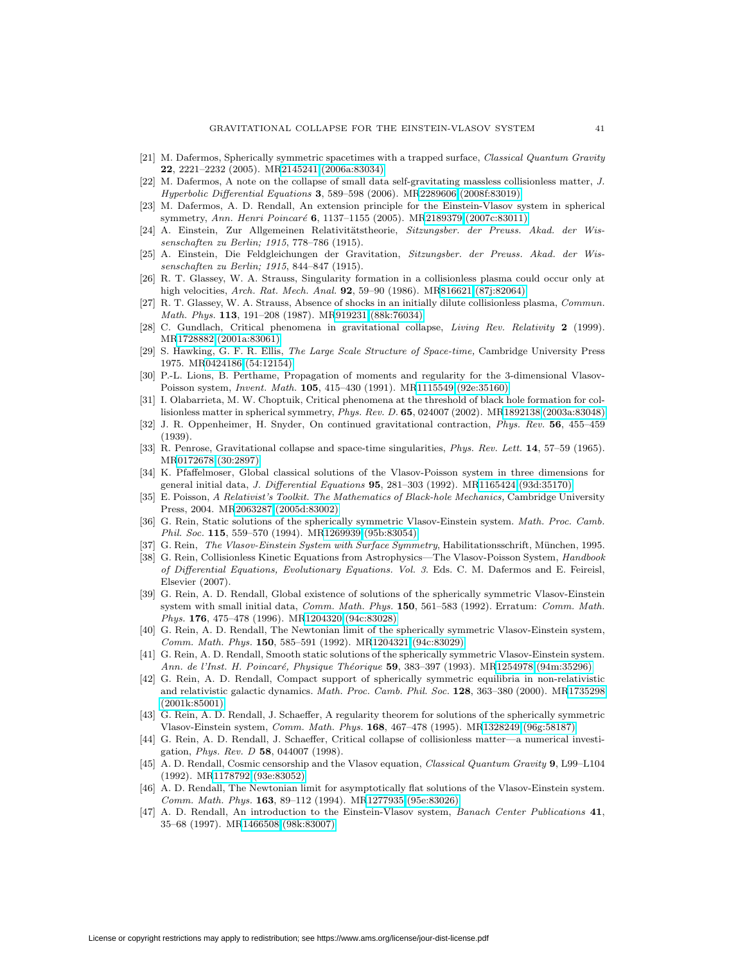- <span id="page-24-25"></span>[21] M. Dafermos, Spherically symmetric spacetimes with a trapped surface, Classical Quantum Gravity **22**, 2221–2232 (2005). M[R2145241 \(2006a:83034\)](http://www.ams.org/mathscinet-getitem?mr=2145241)
- <span id="page-24-14"></span>[22] M. Dafermos, A note on the collapse of small data self-gravitating massless collisionless matter, J. Hyperbolic Differential Equations **3**, 589–598 (2006). M[R2289606 \(2008f:83019\)](http://www.ams.org/mathscinet-getitem?mr=2289606)
- <span id="page-24-18"></span>[23] M. Dafermos, A. D. Rendall, An extension principle for the Einstein-Vlasov system in spherical symmetry, Ann. Henri Poincaré **6**, 1137-1155 (2005). M[R2189379 \(2007c:83011\)](http://www.ams.org/mathscinet-getitem?mr=2189379)
- <span id="page-24-0"></span>[24] A. Einstein, Zur Allgemeinen Relativitätstheorie, Sitzungsber. der Preuss. Akad. der Wissenschaften zu Berlin; 1915, 778–786 (1915).
- <span id="page-24-1"></span>[25] A. Einstein, Die Feldgleichungen der Gravitation, Sitzungsber. der Preuss. Akad. der Wissenschaften zu Berlin; 1915, 844–847 (1915).
- <span id="page-24-12"></span>[26] R. T. Glassey, W. A. Strauss, Singularity formation in a collisionless plasma could occur only at high velocities, Arch. Rat. Mech. Anal. **92**, 59–90 (1986). M[R816621 \(87j:82064\)](http://www.ams.org/mathscinet-getitem?mr=816621)
- <span id="page-24-13"></span>[27] R. T. Glassey, W. A. Strauss, Absence of shocks in an initially dilute collisionless plasma, Commun. Math. Phys. **113**, 191–208 (1987). M[R919231 \(88k:76034\)](http://www.ams.org/mathscinet-getitem?mr=919231)
- <span id="page-24-26"></span>[28] C. Gundlach, Critical phenomena in gravitational collapse, Living Rev. Relativity **2** (1999). M[R1728882 \(2001a:83061\)](http://www.ams.org/mathscinet-getitem?mr=1728882)
- <span id="page-24-22"></span>[29] S. Hawking, G. F. R. Ellis, The Large Scale Structure of Space-time, Cambridge University Press 1975. M[R0424186 \(54:12154\)](http://www.ams.org/mathscinet-getitem?mr=0424186)
- <span id="page-24-7"></span>[30] P.-L. Lions, B. Perthame, Propagation of moments and regularity for the 3-dimensional Vlasov-Poisson system, Invent. Math. **105**, 415–430 (1991). M[R1115549 \(92e:35160\)](http://www.ams.org/mathscinet-getitem?mr=1115549)
- <span id="page-24-15"></span>[31] I. Olabarrieta, M. W. Choptuik, Critical phenomena at the threshold of black hole formation for collisionless matter in spherical symmetry, Phys. Rev. D. **65**, 024007 (2002). M[R1892138 \(2003a:83048\)](http://www.ams.org/mathscinet-getitem?mr=1892138)
- <span id="page-24-2"></span>[32] J. R. Oppenheimer, H. Snyder, On continued gravitational contraction, Phys. Rev. **56**, 455–459 (1939).
- <span id="page-24-3"></span>[33] R. Penrose, Gravitational collapse and space-time singularities, Phys. Rev. Lett. **14**, 57–59 (1965). M[R0172678 \(30:2897\)](http://www.ams.org/mathscinet-getitem?mr=0172678)
- <span id="page-24-8"></span>[34] K. Pfaffelmoser, Global classical solutions of the Vlasov-Poisson system in three dimensions for general initial data, J. Differential Equations **95**, 281–303 (1992). M[R1165424 \(93d:35170\)](http://www.ams.org/mathscinet-getitem?mr=1165424)
- <span id="page-24-23"></span>[35] E. Poisson, A Relativist's Toolkit. The Mathematics of Black-hole Mechanics, Cambridge University Press, 2004. M[R2063287 \(2005d:83002\)](http://www.ams.org/mathscinet-getitem?mr=2063287)
- <span id="page-24-19"></span>[36] G. Rein, Static solutions of the spherically symmetric Vlasov-Einstein system. Math. Proc. Camb. Phil. Soc. **115**, 559–570 (1994). M[R1269939 \(95b:83054\)](http://www.ams.org/mathscinet-getitem?mr=1269939)
- <span id="page-24-10"></span><span id="page-24-9"></span>[37] G. Rein, The Vlasov-Einstein System with Surface Symmetry, Habilitationsschrift, München, 1995.
- [38] G. Rein, Collisionless Kinetic Equations from Astrophysics—The Vlasov-Poisson System, Handbook of Differential Equations, Evolutionary Equations. Vol. 3. Eds. C. M. Dafermos and E. Feireisl, Elsevier (2007).
- <span id="page-24-11"></span>[39] G. Rein, A. D. Rendall, Global existence of solutions of the spherically symmetric Vlasov-Einstein system with small initial data, Comm. Math. Phys. **150**, 561–583 (1992). Erratum: Comm. Math. Phys. **176**, 475–478 (1996). M[R1204320 \(94c:83028\)](http://www.ams.org/mathscinet-getitem?mr=1204320)
- <span id="page-24-5"></span>[40] G. Rein, A. D. Rendall, The Newtonian limit of the spherically symmetric Vlasov-Einstein system, Comm. Math. Phys. **150**, 585–591 (1992). M[R1204321 \(94c:83029\)](http://www.ams.org/mathscinet-getitem?mr=1204321)
- <span id="page-24-20"></span>[41] G. Rein, A. D. Rendall, Smooth static solutions of the spherically symmetric Vlasov-Einstein system. Ann. de l'Inst. H. Poincar´e, Physique Th´eorique **59**, 383–397 (1993). M[R1254978 \(94m:35296\)](http://www.ams.org/mathscinet-getitem?mr=1254978)
- <span id="page-24-21"></span>[42] G. Rein, A. D. Rendall, Compact support of spherically symmetric equilibria in non-relativistic and relativistic galactic dynamics. Math. Proc. Camb. Phil. Soc. **128**, 363–380 (2000). M[R1735298](http://www.ams.org/mathscinet-getitem?mr=1735298) [\(2001k:85001\)](http://www.ams.org/mathscinet-getitem?mr=1735298)
- <span id="page-24-17"></span>[43] G. Rein, A. D. Rendall, J. Schaeffer, A regularity theorem for solutions of the spherically symmetric Vlasov-Einstein system, Comm. Math. Phys. **168**, 467–478 (1995). M[R1328249 \(96g:58187\)](http://www.ams.org/mathscinet-getitem?mr=1328249)
- <span id="page-24-16"></span>[44] G. Rein, A. D. Rendall, J. Schaeffer, Critical collapse of collisionless matter—a numerical investigation, Phys. Rev. D **58**, 044007 (1998).
- <span id="page-24-24"></span>[45] A. D. Rendall, Cosmic censorship and the Vlasov equation, Classical Quantum Gravity **9**, L99–L104 (1992). M[R1178792 \(93e:83052\)](http://www.ams.org/mathscinet-getitem?mr=1178792)
- <span id="page-24-6"></span>[46] A. D. Rendall, The Newtonian limit for asymptotically flat solutions of the Vlasov-Einstein system. Comm. Math. Phys. **163**, 89–112 (1994). M[R1277935 \(95e:83026\)](http://www.ams.org/mathscinet-getitem?mr=1277935)
- <span id="page-24-4"></span>[47] A. D. Rendall, An introduction to the Einstein-Vlasov system, Banach Center Publications **41**, 35–68 (1997). M[R1466508 \(98k:83007\)](http://www.ams.org/mathscinet-getitem?mr=1466508)